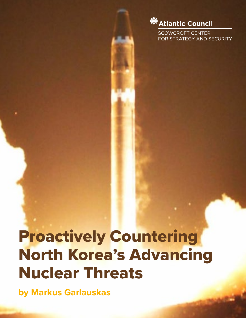

**SCOWCROFT CENTER** FOR STRATEGY AND SECURITY

# Proactively Countering North Korea's Advancing Nuclear Threats

**by Markus Garlauskas**

PROACTIVELY COUNTERING NORTH KOREA'S ADVANCING NUCLEAR THREATS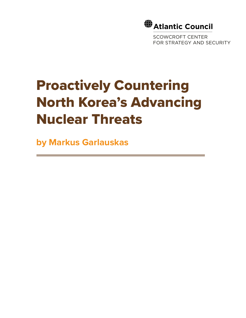

SCOWCROFT CENTER FOR STRATEGY AND SECURITY

## Proactively Countering North Korea's Advancing Nuclear Threats

**by Markus Garlauskas**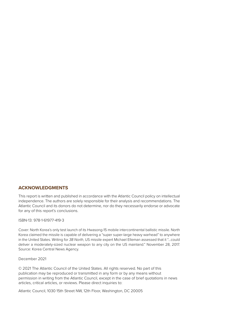#### **ACKNOWLEDGMENTS**

This report is written and published in accordance with the Atlantic Council policy on intellectual independence. The authors are solely responsible for their analysis and recommendations. The Atlantic Council and its donors do not determine, nor do they necessarily endorse or advocate for any of this report's conclusions.

#### ISBN-13: 978-1-61977-419-3

Cover: North Korea's only test launch of its Hwasong-15 mobile intercontinental ballistic missile. North Korea claimed the missile is capable of delivering a "super super-large heavy warhead" to anywhere in the United States. Writing for *38 North*, US missile expert Michael Elleman assessed that it "…could deliver a moderately-sized nuclear weapon to any city on the US mainland." November 28, 2017. Source: Korea Central News Agency.

#### December 2021

© 2021 The Atlantic Council of the United States. All rights reserved. No part of this publication may be reproduced or transmitted in any form or by any means without permission in writing from the Atlantic Council, except in the case of brief quotations in news articles, critical articles, or reviews. Please direct inquiries to:

Atlantic Council, 1030 15th Street NW, 12th Floor, Washington, DC 20005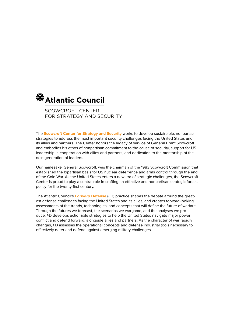

SCOWCROFT CENTER FOR STRATEGY AND SECURITY

The **Scowcroft Center for Strategy and Security** works to develop sustainable, nonpartisan strategies to address the most important security challenges facing the United States and its allies and partners. The Center honors the legacy of service of General Brent Scowcroft and embodies his ethos of nonpartisan commitment to the cause of security, support for US leadership in cooperation with allies and partners, and dedication to the mentorship of the next generation of leaders.

Our namesake, General Scowcroft, was the chairman of the 1983 Scowcroft Commission that established the bipartisan basis for US nuclear deterrence and arms control through the end of the Cold War. As the United States enters a new era of strategic challenges, the Scowcroft Center is proud to play a central role in crafting an effective and nonpartisan strategic forces policy for the twenty-first century.

The Atlantic Council's *Forward* **Defense** (*F*D) practice shapes the debate around the greatest defense challenges facing the United States and its allies, and creates forward-looking assessments of the trends, technologies, and concepts that will define the future of warfare. Through the futures we forecast, the scenarios we wargame, and the analyses we produce, *F*D develops actionable strategies to help the United States navigate major power conflict and defend forward, alongside allies and partners. As the character of war rapidly changes, *F*D assesses the operational concepts and defense industrial tools necessary to effectively deter and defend against emerging military challenges.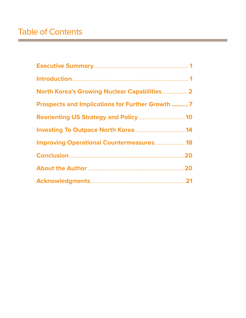$=$ 

| <b>North Korea's Growing Nuclear Capabilities 2</b>     |
|---------------------------------------------------------|
| <b>Prospects and Implications for Further Growth  7</b> |
|                                                         |
|                                                         |
| <b>Improving Operational Countermeasures18</b>          |
|                                                         |
|                                                         |
|                                                         |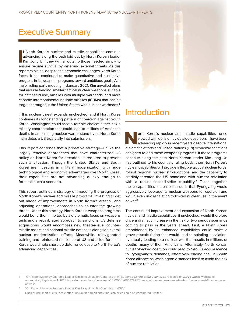### <span id="page-5-0"></span>Executive Summary

If North Korea's nuclear and missile capabilities continue advancing along the path laid out by North Korean leader<br>Kim Jong Un, they will far outstrip those needed simply to ensure regime survival by deterring external th f North Korea's nuclear and missile capabilities continue advancing along the path laid out by North Korean leader Kim Jong Un, they will far outstrip those needed simply to report explains, despite the economic challenges North Korea faces, it has continued to make quantitative and qualitative progress in its weapons programs toward ambitious goals. At a major ruling party meeting in January 2021, Kim unveiled plans that include fielding smaller tactical nuclear weapons suitable for battlefield use, missiles with multiple warheads, and more capable intercontinental ballistic missiles (ICBMs) that can hit targets throughout the United States with nuclear warheads.1

If this nuclear threat expands unchecked, and if North Korea continues its longstanding pattern of coercion against South Korea, Washington could face a terrible choice: either risk a military confrontation that could lead to millions of American deaths in an ensuing nuclear war or stand by as North Korea intimidates a US treaty ally into submission.

This report contends that a proactive strategy—unlike the largely reactive approaches that have characterized US policy on North Korea for decades—is required to prevent such a situation. Though the United States and South Korea are investing in military modernization with huge technological and economic advantages over North Korea, their capabilities are not advancing quickly enough to forestall such a scenario.

This report outlines a strategy of impeding the progress of North Korea's nuclear and missile programs, investing to get out ahead of improvements in North Korea's arsenal, and adjusting operational approaches to counter the growing threat. Under this strategy, North Korea's weapons programs would be further inhibited by a diplomatic focus on weapons tests and a recalibrated approach to sanctions. US defense acquisitions would encompass new theater-level countermissile assets and national missile defenses alongside overall nuclear modernization efforts. Meanwhile, reinvigorated training and reinforced resilience of US and allied forces in Korea would help shore up deterrence despite North Korea's advancing capabilities.

### Introduction

orth Korea's nuclear and missile capabilities—once<br>viewed with derision by outside observers—have been<br>advancing rapidly in recent years despite international<br>diplomatic efforts and United Nations (UN) economic sanctions viewed with derision by outside observers—have been advancing rapidly in recent years despite international diplomatic efforts and United Nations (UN) economic sanctions designed to end these weapons programs. If these programs continue along the path North Korean leader Kim Jong Un has outlined to his country's ruling body, then North Korea's nuclear capabilities will provide a flexible tactical nuclear force, robust regional nuclear strike options, and the capability to credibly threaten the US homeland with nuclear retaliation with a robust second-strike capability.<sup>2</sup> Taken together, these capabilities increase the odds that Pyongyang would aggressively leverage its nuclear weapons for coercion and would even risk escalating to limited nuclear use in the event of war.<sup>3</sup>

The continued improvement and expansion of North Korean nuclear and missile capabilities, if unchecked, would therefore drive a dramatic increase in the risk of two serious scenarios coming to pass in the years ahead. First, a North Korea emboldened by its enhanced capabilities could make a grave miscalculation that would lead to spiraling escalation, eventually leading to a nuclear war that results in millions of deaths—many of them Americans. Alternately, North Korean nuclear-backed coercion could lead to Seoul's acquiescence to Pyongyang's demands, effectively ending the US-South Korea alliance as Washington distances itself to avoid the risk of nuclear retaliation.

<sup>1</sup> "On Report Made by Supreme Leader Kim Jong Un at 8th Congress of WPK," *Korea Central News Agency* as reflected on *KCNA Watch* (website of aggregator), September 1, 2021, [https://kcnawatch.org/newstream/1610155111-665078257/on-report-made-by-supreme-leader-kim-jong-un-at-8th-congress](https://kcnawatch.org/newstream/1610155111-665078257/on-report-made-by-supreme-leader-kim-jong-un-at-8th-congress-of-wpk/)[of-wpk/.](https://kcnawatch.org/newstream/1610155111-665078257/on-report-made-by-supreme-leader-kim-jong-un-at-8th-congress-of-wpk/)

<sup>2</sup> "On Report Made by Supreme Leader Kim Jong Un at 8th Congress of WPK."

<sup>3</sup> Nuclear use short of a full-scale attack on South Korean and American cities could be considered "limited."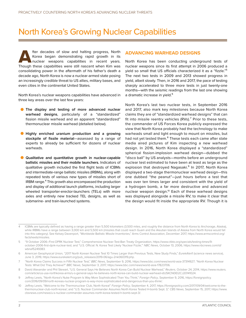### <span id="page-6-0"></span>North Korea's Growing Nuclear Capabilities

fter decades of slow and halting progress, North<br>Korea began demonstrating rapid growth in its<br>nuclear weapons capabilities in recent years.<br>Though these capabilities were still nascent when Kim was Korea began demonstrating rapid growth in its nuclear weapons capabilities in recent years. Though these capabilities were still nascent when Kim was consolidating power in the aftermath of his father's death a decade ago, North Korea is now a nuclear-armed state posing an increasingly credible threat to US allies, military bases, and even cities in the continental United States.

North Korea's nuclear weapons capabilities have advanced in three key areas over the last few years:

- **The display and testing of more advanced nuclear warhead designs**, particularly of a "standardized" fission missile warhead and an apparent "standardized" thermonuclear missile warhead (detailed below).
- **Highly enriched uranium production and a growing stockpile of fissile material**—assessed by a range of experts to already be sufficient for dozens of nuclear warheads.
- **Qualitative and quantitative growth in nuclear-capable ballistic missiles and their mobile launchers.** Indicators of qualitative growth included the first flight tests of ICBMs and intermediate-range ballistic missiles (IRBMs), along with repeated tests of various new types of missiles short of IRBM range.<sup>4</sup> This growth also encompassed the production and display of additional launch platforms, including larger wheeled transporter-erector-launchers (TELs) with more axles and entirely new tracked TEL designs, as well as submarine- and train-launched systems.

#### **ADVANCING WARHEAD DESIGNS**

North Korea has been conducting underground tests of nuclear weapons since its first attempt in 2006 produced a yield so small that US officials characterized it as a "fizzle."5 The next two tests in 2009 and 2013 showed progress in yield, albeit slowly. Then, in 2016 and 2017, the pace of testing sharply accelerated to three more tests in just twenty-one months—with the seismic readings from the last one showing a dramatic increase in yield.<sup>6</sup>

North Korea's last two nuclear tests, in September 2016 and 2017, also mark key milestones because North Korea claims they are of "standardized warhead designs" that can fit into missile reentry vehicles  $(RVs)$ .<sup>7</sup> Prior to these tests, the commander of US Forces Korea publicly expressed the view that North Korea probably had the technology to make warheads small and light enough to mount on missiles, but had not yet tested them.<sup>8</sup> These tests each came after state media aired pictures of Kim inspecting a new warhead design. In 2016, North Korea displayed a "standardized" spherical fission-implosion warhead design—dubbed the "disco ball" by US analysts—months before an underground nuclear test estimated to have been at least as large as the explosion that destroyed Nagasaki.<sup>9</sup> In 2017, North Korea displayed a two-stage thermonuclear warhead design—this one dubbed "the peanut"—just hours before a test that was over ten times larger and consistent with the yield of a hydrogen bomb, a far more destructive and advanced nuclear weapon design.<sup>10</sup> Each of these warhead designs was displayed alongside a missile RV, to make it clear that the design would fit inside the appropriate RV. Though it is

<sup>4</sup> ICBMs are typically defined as having a range greater than 5,500 kilometers (3,500 miles, and roughly the distance from North Korea to Anchorage, Alaska), while IRBMs have a range between 3,000 km and 5,500 km (missiles that could reach Guam and the Aleutian Islands of Alaska from North Korea would fall into this category). See Kelsey Davenport, "Worldwide Ballistic Missile Inventories," Arms Control Association, December 2017, [https://www.armscontrol.org/](https://www.armscontrol.org/factsheets/missiles) [factsheets/missiles.](https://www.armscontrol.org/factsheets/missiles)

<sup>5</sup> "9 October 2006–First DPRK Nuclear Test," Comprehensive Nuclear-Test-Ban Treaty Organization, [https://www.ctbto.org/specials/testing-times/9](https://www.ctbto.org/specials/testing-times/9-october-2006-first-dprk-nuclear-test) [october-2006-first-dprk-nuclear-test](https://www.ctbto.org/specials/testing-times/9-october-2006-first-dprk-nuclear-test); and "U.S. Official: N. Korea Test Likely 'Nuclear Fizzle,'" *NBC News*, October 13, 2006, [https://www.nbcnews.com/id/](https://www.nbcnews.com/id/wbna15249383) [wbna15249383.](https://www.nbcnews.com/id/wbna15249383)

<sup>6</sup> American Geophysical Union, "2017 North Korean Nuclear Test 10 Times Larger than Previous Tests, New Study Finds," *EurekAlert*! (science news service), June 3, 2019, [https://www.eurekalert.org/pub\\_releases/2019-06/agu-2nk060319.php](https://www.eurekalert.org/pub_releases/2019-06/agu-2nk060319.php).

<sup>7</sup> "North Korea Claims Success in Fifth Nuclear Test," *BBC News*, September 9, 2016, [https://www.bbc.com/news/world-asia-37314927;](https://www.bbc.com/news/world-asia-37314927) "North Korea Nuclear Tests: What Did They Achieve?" *BBC News*, September 3, 2017, [https://www.bbc.com/news/world-asia-17823706.](https://www.bbc.com/news/world-asia-17823706)

<sup>8</sup> David Alexander and Phil Stewart, "U.S. General Says He Believes North Korea Can Build Nuclear Warhead," *Reuters*, October 24, 2014, [https://www.reuters.](https://www.reuters.com/article/us-usa-northkorea-arms/u-s-general-says-he-believes-north-korea-can-build-nuclear-warhead-idUSKCN0ID2CJ20141024) [com/article/us-usa-northkorea-arms/u-s-general-says-he-believes-north-korea-can-build-nuclear-warhead-idUSKCN0ID2CJ20141024.](https://www.reuters.com/article/us-usa-northkorea-arms/u-s-general-says-he-believes-north-korea-can-build-nuclear-warhead-idUSKCN0ID2CJ20141024)

<sup>9</sup> Jeffrey Lewis, "North Korea's Nuke Program Is Way More Sophisticated Than You Think," *Foreign Policy*, September 9, 2016, [https://foreignpolicy.](https://foreignpolicy.com/2016/09/09/north-koreas-nuclear-program-is-way-more-sophisticated-and-dangerous-than-you-think/) [com/2016/09/09/north-koreas-nuclear-program-is-way-more-sophisticated-and-dangerous-than-you-think/.](https://foreignpolicy.com/2016/09/09/north-koreas-nuclear-program-is-way-more-sophisticated-and-dangerous-than-you-think/)

<sup>10</sup> Jeffrey Lewis, "Welcome to the Thermonuclear Club, North Korea!" *Foreign Policy*, September 4, 2017, [https://foreignpolicy.com/2017/09/04/welcome-to-the](https://foreignpolicy.com/2017/09/04/welcome-to-the-thermonuclear-club-north-korea/)[thermonuclear-club-north-korea/;](https://foreignpolicy.com/2017/09/04/welcome-to-the-thermonuclear-club-north-korea/) and "U.S. Nuclear Commander Assumes North Korea Tested H-bomb Sept. 3," *CBS News*, September 15, 2017, [https://www.](https://www.cbsnews.com/news/u-s-nuclear-commander-assumes-north-korea-tested-h-bomb-sept-3/) [cbsnews.com/news/u-s-nuclear-commander-assumes-north-korea-tested-h-bomb-sept-3/](https://www.cbsnews.com/news/u-s-nuclear-commander-assumes-north-korea-tested-h-bomb-sept-3/).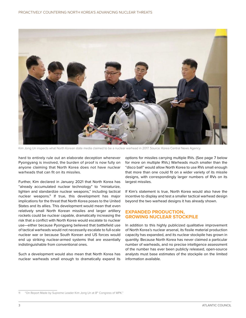

Kim Jong Un inspects what North Korean state media claimed to be a nuclear warhead in 2017. Source: Korea Central News Agency.

hard to entirely rule out an elaborate deception whenever Pyongyang is involved, the burden of proof is now fully on anyone claiming that North Korea does not have nuclear warheads that can fit on its missiles.

Further, Kim declared in January 2021 that North Korea has "already accumulated nuclear technology" to "miniaturize, lighten and standardize nuclear weapons," including tactical nuclear weapons.<sup>11</sup> If true, this development has major implications for the threat that North Korea poses to the United States and its allies. This development would mean that even relatively small North Korean missiles and larger artillery rockets could be nuclear capable, dramatically increasing the risk that a conflict with North Korea would escalate to nuclear use—either because Pyongyang believed that battlefield use of tactical warheads would not necessarily escalate to full-scale nuclear war or because South Korean and US forces would end up striking nuclear-armed systems that are essentially indistinguishable from conventional ones.

Such a development would also mean that North Korea has nuclear warheads small enough to dramatically expand its

options for missiles carrying multiple RVs. (See page 7 below for more on multiple RVs.) Warheads much smaller than the "disco ball" would allow North Korea to use RVs small enough that more than one could fit on a wider variety of its missile designs, with correspondingly larger numbers of RVs on its largest missiles.

If Kim's statement is true, North Korea would also have the incentive to display and test a smaller tactical warhead design beyond the two warhead designs it has already shown.

#### **EXPANDED PRODUCTION, GROWING NUCLEAR STOCKPILE**

In addition to this highly publicized qualitative improvement of North Korea's nuclear arsenal, its fissile material production capacity has expanded, and its nuclear stockpile has grown in quantity. Because North Korea has never claimed a particular number of warheads, and no precise intelligence assessment of the number has ever been publicly released, open-source analysts must base estimates of the stockpile on the limited information available.

<sup>11 &</sup>quot;On Report Made by Supreme Leader Kim Jong Un at 8<sup>th</sup> Congress of WPK."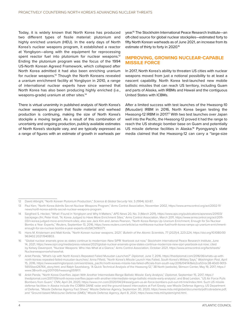Today, it is widely known that North Korea has produced two different types of fissile material: plutonium and highly enriched uranium (HEU). In the early days of North Korea's nuclear weapons program, it established a reactor at Yongbyon—along with the equipment for reprocessing spent reactor fuel into plutonium for nuclear weapons.<sup>12</sup> Ending the plutonium program was the focus of the 1994 US-North Korean Agreed Framework, which collapsed after North Korea admitted it had also been enriching uranium for nuclear weapons.<sup>13</sup> Though the North Koreans revealed a uranium enrichment facility at Yongbyon in 2010, a range of international nuclear experts have since warned that North Korea has also been producing highly enriched (i.e., weapons-grade) uranium at other sites.14

There is virtual unanimity in published analysis of North Korea's nuclear weapons program that fissile material and warhead production is continuing, making the size of North Korea's stockpile a moving target. As a result of this combination of uncertainty and ongoing production, publicly available estimates of North Korea's stockpile vary, and are typically expressed as a range of figures with an estimate of growth in warheads per

year.15 The Stockholm International Peace Research Institute—an oft-cited source for global nuclear stockpiles—estimated forty to fifty North Korean warheads as of June 2021, an increase from its estimate of thirty to forty in 2020.<sup>16</sup>

#### **IMPROVING, GROWING NUCLEAR-CAPABLE MISSILE FORCE**

In 2017, North Korea's ability to threaten US cities with nuclear weapons moved from just a notional possibility to at least a nascent capability. North Korea test-launched new mobile ballistic missiles that can reach US territory, including Guam and parts of Alaska, with IRBMs and Hawaii and the contiguous United States with ICBMs.

After a limited success with test launches of the Hwasong-10 (Musudan) IRBM in 2016, North Korea began testing the Hwasong-12 IRBM in 2017.<sup>17</sup> With two test launches over Japan well into the Pacific, the Hwasong-12 proved it had the range to reach the US strategic bomber base on Guam and potentially US missile defense facilities in Alaska.<sup>18</sup> Pyongyang's state media claimed that the Hwasong-12 can carry a "large-size

<sup>12</sup> David Albright, "North Korean Plutonium Production," *Science & Global Security* Vol. 5 (1994): 63-87.

<sup>13</sup> Paul Kerr, "North Korea Admits Secret Nuclear Weapons Program," Arms Control Association, November 2002, [https://www.armscontrol.org/act/2002-11/](https://www.armscontrol.org/act/2002-11/news/north-korea-admits-secret-nuclear-weapons-program) [news/north-korea-admits-secret-nuclear-weapons-program](https://www.armscontrol.org/act/2002-11/news/north-korea-admits-secret-nuclear-weapons-program).

<sup>14</sup> Siegfried S. Hecker, "What I Found in Yongbyon and Why It Matters," *APS News* 20, No. 3 (March 2011), [https://www.aps.org/publications/apsnews/201103/](https://www.aps.org/publications/apsnews/201103/backpage.cfm) [backpage.cfm;](https://www.aps.org/publications/apsnews/201103/backpage.cfm) Peter Krail, "N. Korea Judged to Have More Enrichment Sites," Arms Control Association, March 2011, [https://www.armscontrol.org/act/2011-](https://www.armscontrol.org/act/2011-03/n-korea-judged-more-enrichment-sites) [03/n-korea-judged-more-enrichment-sites](https://www.armscontrol.org/act/2011-03/n-korea-judged-more-enrichment-sites); also see Jack Kim and James Pearson, "North Korea Ramps Up Uranium Enrichment, Enough for Six Nuclear Bombs a Year: Experts," *Reuters*, September 13, 2016, [https://www.reuters.com/article/us-northkorea-nuclear-fuel/north-korea-ramps-up-uranium-enrichment](https://www.reuters.com/article/us-northkorea-nuclear-fuel/north-korea-ramps-up-uranium-enrichment-enough-for-six-nuclear-bombs-a-year-experts-idUSKCN11K07Y)[enough-for-six-nuclear-bombs-a-year-experts-idUSKCN11K07Y](https://www.reuters.com/article/us-northkorea-nuclear-fuel/north-korea-ramps-up-uranium-enrichment-enough-for-six-nuclear-bombs-a-year-experts-idUSKCN11K07Y).

<sup>15</sup> Hans M. Kristensen and Matt Korda, "North Korean nuclear weapons, 2021," *Bulletin of the Atomic Scientists*, 77 (2021):4, 223-224, [https://doi.org/10.1080/00](https://doi.org/10.1080/00963402.2021.1940803) [963402.2021.1940803](https://doi.org/10.1080/00963402.2021.1940803).

<sup>16</sup> "Global nuclear arsenals grow as states continue to modernize–New SIPRI Yearbook out now," Stockholm International Peace Research Institute, June 14, 2021, [https://www.sipri.org/media/press-release/2021/global-nuclear-arsenals-grow-states-continue-modernize-new-sipri-yearbook-out-now;](https://www.sipri.org/media/press-release/2021/global-nuclear-arsenals-grow-states-continue-modernize-new-sipri-yearbook-out-now) cited by Kelsey Davenport, "Nuclear Weapons: Who Has What at a Glance," Arms Control Association, October 2021, [https://www.armscontrol.org/factsheets/](https://www.armscontrol.org/factsheets/Nuclearweaponswhohaswhat) [Nuclearweaponswhohaswhat](https://www.armscontrol.org/factsheets/Nuclearweaponswhohaswhat).

<sup>17</sup> Ankit Panda, "What's Up with North Korea's Repeated Failed Musudan Launches?" *Diplomat*, June 7, 2016, [https://thediplomat.com/2016/06/whats-up-with](https://thediplomat.com/2016/06/whats-up-with-north-koreas-repeated-failed-musudan-launches/)[north-koreas-repeated-failed-musudan-launches/](https://thediplomat.com/2016/06/whats-up-with-north-koreas-repeated-failed-musudan-launches/); Anna Fifield, "North Korea's Missile Launch Has Failed, South Korea's Military Says," *Washington Post*, April 15, 2016, [https://www.washingtonpost.com/world/asia\\_pacific/north-koreas-missile-has-failed-officials-from-south-say/2016/04/14/8eb2ce53-bc38-40d0-9013-](https://www.washingtonpost.com/world/asia_pacific/north-koreas-missile-has-failed-officials-from-south-say/2016/04/14/8eb2ce53-bc38-40d0-9013-5655bed26764_story.html) [5655bed26764\\_story.html](https://www.washingtonpost.com/world/asia_pacific/north-koreas-missile-has-failed-officials-from-south-say/2016/04/14/8eb2ce53-bc38-40d0-9013-5655bed26764_story.html); and Ralph Savelsberg, "A Quick Technical Analysis of the Hwasong-12," 38 North (website), Stimson Center, May 19, 2017, [https://](https://www.38north.org/2017/05/hwasong051917/) [www.38north.org/2017/05/hwasong051917/.](https://www.38north.org/2017/05/hwasong051917/)

<sup>18</sup> Ankit Panda, "North Korea Overflies Japan With Another Intermediate-Range Ballistic Missile: Early Analysis," *Diplomat*, September 15, 2017, [https://](https://thediplomat.com/2017/09/north-korea-overflies-japan-with-another-intermediate-range-ballistic-missile-early-analysis/) [thediplomat.com/2017/09/north-korea-overflies-japan-with-another-intermediate-range-ballistic-missile-early-analysis/;](https://thediplomat.com/2017/09/north-korea-overflies-japan-with-another-intermediate-range-ballistic-missile-early-analysis/) and Brad Lendon, "US Air Force Pulls Bombers from Guam," *CNN*, April 24, 2020,<https://www.cnn.com/2020/04/24/asia/guam-us-air-force-bombers-pull-out-intl-hnk/index.html>. Such US missile defense facilities in Alaska include the COBRA DANE radar and the ground-based interceptors at Fort Greely; see Missile Defense Agency, US Department of Defense, "Missile Defense Agency Fact Sheet," Missile Defense Agency, September 30, 2020, [https://www.mda.mil/global/documents/pdf/cobradane.pdf;](https://www.mda.mil/global/documents/pdf/cobradane.pdf) and "Ground-based Midcourse Defense (GMD)," Missile Defense Agency, April 8, 2021,<https://www.mda.mil/system/gmd.html>.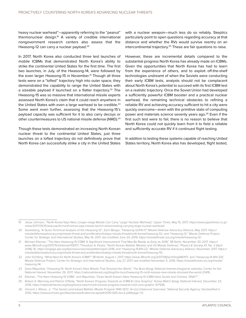heavy nuclear warhead"—apparently referring to the "peanut" thermonuclear design.19 A variety of credible international nongovernment research centers also assess that the Hwasong-12 can carry a nuclear payload.<sup>20</sup>

In 2017, North Korea also conducted three test launches of mobile ICBMs that demonstrated North Korea's ability to strike the continental United States for the first time. The first two launches, in July, of the Hwasong-14, were followed by the even larger Hwasong-15 in November.<sup>21</sup> Though all three tests were on a "lofted" trajectory high into outer space, they demonstrated the capability to range the United States with a sizeable payload if launched on a flatter trajectory.<sup>22</sup> The Hwasong-15 was so massive that international missile experts assessed North Korea's claim that it could reach anywhere in the United States with even a large warhead to be credible.<sup>23</sup> Some went even further, assessing that the Hwasong-15's payload capacity was sufficient for it to also carry decoys or other countermeasures to US national missile defense (NMD).<sup>24</sup>

Though these tests demonstrated an increasing North Korean nuclear threat to the continental United States, just three launches on a lofted trajectory do not definitively prove that North Korea can successfully strike a city in the United States

with a nuclear weapon—much less do so reliably. Skeptics particularly point to open questions regarding accuracy at that distance and whether the RVs would survive reentry on an intercontinental trajectory.<sup>25</sup> These are fair questions to raise.

However, these are incremental details compared to the substantial progress North Korea has already made on ICBMs. Given the opportunities that North Korea has had to learn from the experience of others, and to exploit off-the-shelf technologies undreamt of when the Soviets were conducting their early ICBM tests, analysts should not be complacent about North Korea's potential to succeed with its first ICBM test on a realistic trajectory. Once the Soviet Union had developed a sufficiently powerful ICBM booster and a practical nuclear warhead, the remaining technical obstacles to refining a reliable RV and achieving accuracy sufficient to hit a city were quickly overcome—even with the primitive state of computing power and materials science seventy years ago.<sup>26</sup> Even if the first such test were to fail, there is no reason to believe that North Korea could not quickly learn from it to field a reliable and sufficiently accurate RV if it continued flight testing.

In addition to testing these systems capable of reaching United States territory, North Korea also has developed, flight tested,

<sup>19</sup> Jesse Johnson, "North Korea Says New, Longer-range Missile Can Carry 'Large' Nuclear Warhead," *Japan Time*s, May 15, 2017, [https://www.japantimes.co.jp/](https://www.japantimes.co.jp/news/2017/05/15/asia-pacific/north-korea-says-missile-launch-aimed-testing-carrying-large-nuclear-warhead/) [news/2017/05/15/asia-pacific/north-korea-says-missile-launch-aimed-testing-carrying-large-nuclear-warhead/.](https://www.japantimes.co.jp/news/2017/05/15/asia-pacific/north-korea-says-missile-launch-aimed-testing-carrying-large-nuclear-warhead/)

<sup>20</sup> Savelsberg, "A Quick Technical Analysis of the Hwasong-12"; Zach Berger, "Hwasong-12/KN-17," Missile Defense Advocacy Alliance, May 2017, [https://](https://missiledefenseadvocacy.org/missile-threat-and-proliferation/todays-missile-threat/north-korea/hwasong-12/) [missiledefenseadvocacy.org/missile-threat-and-proliferation/todays-missile-threat/north-korea/hwasong-12/;](https://missiledefenseadvocacy.org/missile-threat-and-proliferation/todays-missile-threat/north-korea/hwasong-12/) and "Hwasong-12," Missile Defense Project, Center for Strategic and International Studies, May 16, 2017, last modified June 24, 2019, [https://missilethreat.csis.org/missile/hwasong-12/.](https://missilethreat.csis.org/missile/hwasong-12/)

<sup>21</sup> Michael Elleman, "The New Hwasong-15 ICBM: A Significant Improvement That May Be Ready as Early as 2018," 38 North, November 30, 2017, [https://](https://www.38north.org/2017/11/melleman113017/) [www.38north.org/2017/11/melleman113017/](https://www.38north.org/2017/11/melleman113017/); Theodore A. Postol, "North Korean Ballistic Missiles and US Missile Defense," *Physics & Society* 47, No. 2 (April 2018): 16, [https://engage.aps.org/fps/resources/newsletters/april-2018;](https://engage.aps.org/fps/resources/newsletters/april-2018) and "Hwasong-15/KN-22," Missile Defense Advocacy Alliance, November 2017, [https://](https://missiledefenseadvocacy.org/missile-threat-and-proliferation/todays-missile-threat/north-korea/hwasong-15/) [missiledefenseadvocacy.org/missile-threat-and-proliferation/todays-missile-threat/north-korea/hwasong-15/.](https://missiledefenseadvocacy.org/missile-threat-and-proliferation/todays-missile-threat/north-korea/hwasong-15/)

<sup>22</sup> John Schilling, "What Next for North Korea's ICBM?" 38 North, August 1, 2017, [https://www.38north.org/2017/08/jschilling080117/;](https://www.38north.org/2017/08/jschilling080117/) and "Hwasong-14 (KN-20)," Missile Defense Project, Center for Strategic and International Studies, July 27, 2017, last modified November 5, 2019, [https://missilethreat.csis.org/missile/](https://missilethreat.csis.org/missile/hwasong-14/) [hwasong-14/](https://missilethreat.csis.org/missile/hwasong-14/).

<sup>23</sup> Dave Majumbar, "Hwasong-15: North Korea's New Missile That Shocked the World," *The Buzz* (blog), *National Interest* (magazine website), Center for the National Interest, November 29, 2017,<https://nationalinterest.org/blog/the-buzz/hwasong-15-north-koreas-new-missile-shocked-the-world-23416>.

<sup>24</sup> Elleman, "The New Hwasong-15 ICBM"; and Majumbar, "Does North Korea's New Hwasong-15 ICBM Have Soviet and Chinese 'DNA'?'"

<sup>25</sup> Robert A. Manning and Patrick O'Reilly, "North Korea's Progress Towards an ICBM (In One Graphic)," *Korea Watch* (blog), *National Interest*, December 23, 2019, <https://nationalinterest.org/blog/korea-watch/north-koreas-progress-towards-icbm-one-graphic-107936>.

<sup>26</sup> Vincent J. Wilson, Jr. "The Soviet Land-based Ballistic Missile Program 1945-1972: An [*sic*] Historical Overview," National Security Agency, Declassified in 2010, https://www.archives.gov/files/declassification/iscap/pdf/2010-005-doc2.pdf#page=72.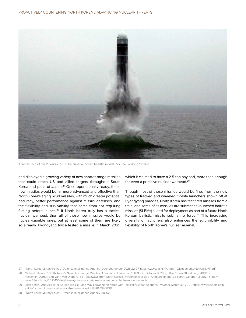

A test launch of the Pukuksong-3 submarine-launched ballistic missile. Source: Rodong Sinmun.

and displayed a growing variety of new shorter-range missiles that could reach US and allied targets throughout South Korea and parts of Japan.<sup>27</sup> Once operationally ready, these new missiles would be far more advanced and effective than North Korea's aging Scud missiles, with much greater potential accuracy, better performance against missile defenses, and the flexibility and survivability that come from not requiring fueling before launch.28 If North Korea truly has a tactical nuclear warhead, then all of these new missiles would be nuclear-capable ones, but at least some of them are likely so already. Pyongyang twice tested a missile in March 2021, which it claimed to have a 2.5-ton payload, more than enough for even a primitive nuclear warhead.29

Though most of these missiles would be fired from the new types of tracked and wheeled mobile launchers shown off at Pyongyang parades, North Korea has test fired missiles from a train, and some of its missiles are submarine-launched ballistic missiles (SLBMs) suited for deployment as part of a future North Korean ballistic missile submarine force.<sup>30</sup> This increasing diversity of launchers also enhances the survivability and flexibility of North Korea's nuclear arsenal.

<sup>27</sup> "North Korea Military Power," Defense Intelligence Agency (DIA), September 2021, 22-27, [https://www.dia.mil/Portals/110/Documents/News/NKMP.pdf.](https://www.dia.mil/Portals/110/Documents/News/NKMP.pdf)

<sup>28</sup> Michael Elleman, "North Korea's New Short-range Missiles: A Technical Evaluation," 38 North, October 9, 2019, [https://www.38north.org/2019/10/](https://www.38north.org/2019/10/melleman100919/) [melleman100919/](https://www.38north.org/2019/10/melleman100919/); and Vann Van Diepen, "Six Takeaways from North Korea's 'Hypersonic Missile' Announcement," 38 North, October 13, 2021, [https://](https://www.38north.org/2021/10/six-takeaways-from-north-koreas-hypersonic-missile-announcement/) [www.38north.org/2021/10/six-takeaways-from-north-koreas-hypersonic-missile-announcement/](https://www.38north.org/2021/10/six-takeaways-from-north-koreas-hypersonic-missile-announcement/).

<sup>29</sup> Josh Smith, "Analysis: Inter-Korean Missile Race May Leave North Korea with Tactical Nuclear Weapons," *Reuters*, March 30, 2021, [https://www.reuters.com/](https://www.reuters.com/article/us-northkorea-missiles-southkorea-analys-idUSKBN2BM0G8) [article/us-northkorea-missiles-southkorea-analys-idUSKBN2BM0G8](https://www.reuters.com/article/us-northkorea-missiles-southkorea-analys-idUSKBN2BM0G8).

<sup>30</sup> "North Korea Military Power," Defense Intelligence Agency, 50, 62.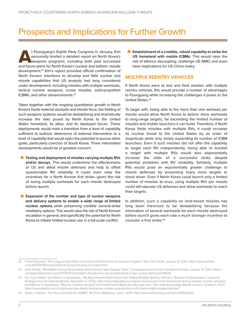### <span id="page-11-0"></span>Prospects and Implications for Further Growth

<sup>t</sup> Pyongyang's Eighth Party Congress in January, Kim<br>personally briefed a detailed report on North Korea's<br>weapons programs, including both past successes<br>and future plans for North Korea's nuclear and ballistic missile personally briefed a detailed report on North Korea's weapons programs, including both past successes and future plans for North Korea's nuclear and ballistic missile development.31 Kim's report provided official confirmation of North Korea's intentions to develop and field nuclear and missile capabilities that US analysts had long considered under development, including missiles with multiple warheads, tactical nuclear weapons, cruise missiles, solid-propellant ICBMs, and other advancements.32

Taken together with the ongoing quantitative growth in North Korea's fissile material stockpile and missile force, the fielding of such weapons systems would be destabilizing and dramatically increase the risks posed by North Korea to the United States homeland, its allies, and its deployed forces. These deployments would mark a transition from a level of capability sufficient to buttress deterrence of external intervention to a level of capability that would open the potential to pursue other goals, particularly coercion of South Korea. Three interrelated developments would be of greatest concern:

- **Testing and deployment of missiles carrying multiple RVs and/or decoys.** This would undermine the effectiveness of US and allied missile defenses and help to offset questionable RV reliability. It could even raise the incentives for a North Korean first strike—given the risk of losing multiple warheads for each missile destroyed before launch.
- **Expansion of the number and type of nuclear weapons and delivery systems to enable a wide range of limited nuclear options** while preserving credible second-strike retaliatory options. This would raise the risk of North Korean escalation in general, and specifically the potential for North Korea to initiate limited nuclear use in a full-scale conflict.

• **Establishment of a credible, robust capability to strike the US homeland with mobile ICBMs.** This would raise the risk of alliance decoupling, challenge US NMD, and even have implications for US-China rivalry.

#### **MULTIPLE REENTRY VEHICLES**

If North Korea were to test and field missiles with multiple reentry vehicles, this would provide a number of advantages to Pyongyang while increasing the challenges it poses to the United States.<sup>33</sup>

To begin with, being able to fire more than one warhead per missile would allow North Korea to deliver more warheads to long-range targets, far exceeding the limited number of missiles and mobile launchers it can build. Therefore, if North Korea fields missiles with multiple RVs, it could increase its nuclear threat to the United States by an order of magnitude while only slowly expanding its number of ICBM launchers. Even if such missiles did not offer the capability to target each RV independently, being able to bracket a target with multiple RVs would also exponentially increase the odds of a successful strike despite potential problems with RV reliability. Similarly, multiple RVs would pose an exponentially greater challenge to missile defenses by presenting many more targets to shoot down. Even if North Korea could launch only a limited number of missiles at once, using multiple RVs per missile could still saturate US defenses and allow warheads to reach their targets.

In addition, such a capability on land-based missiles has long been theorized to be destabilizing because the elimination of several warheads for each missile destroyed before launch gives each side a much stronger incentive to consider a first strike.<sup>34</sup>

<sup>31</sup> Choe Sang-Hun, "Kim Jong-un Uses Party Congress to Double Down on Nuclear Program," *New York Times*, January 13, 2021, [https://www.nytimes.](https://www.nytimes.com/2021/01/13/world/asia/north-korea-kim-jong-un-nuclear.html) [com/2021/01/13/world/asia/north-korea-kim-jong-un-nuclear.html](https://www.nytimes.com/2021/01/13/world/asia/north-korea-kim-jong-un-nuclear.html).

<sup>32</sup> Ankit Panda, "What Biden Should Know About North Korea's New Nuclear Plans," Carnegie Endowment for International Peace, January 15, 2021, [https://](https://carnegieendowment.org/2021/01/15/what-biden-should-know-about-north-korea-s-new-nuclear-plans-pub-83638) [carnegieendowment.org/2021/01/15/what-biden-should-know-about-north-korea-s-new-nuclear-plans-pub-83638](https://carnegieendowment.org/2021/01/15/what-biden-should-know-about-north-korea-s-new-nuclear-plans-pub-83638).

<sup>33</sup> For more details, see Markus V. Garlauskas, "We Must Prevent North Korea from Testing Multiple Reentry Vehicles," Beyond Parallel (project), Center for Strategic and International Studies, November 5, 2020, [https://beyondparallel.csis.org/we-must-prevent-north-korea-from-testing-multiple-re-entry-vehicles/;](https://beyondparallel.csis.org/we-must-prevent-north-korea-from-testing-multiple-re-entry-vehicles/) and Markus V. Garlauskas, "What an 'October Surprise' from North Korea Might Actually Look Like," *New Atlanticist* (blog), Atlantic Council, October 1, 2020, [https://www.atlanticcouncil.org/blogs/new-atlanticist/what-an-october-surprise-from-north-korea-might-actually-look-like/.](https://www.atlanticcouncil.org/blogs/new-atlanticist/what-an-october-surprise-from-north-korea-might-actually-look-like/)

<sup>34</sup> Adam J. Hebert, "The Rise and Semi-fall of MIRV," *Air Force Magazine*, June 1, 2010,<https://www.airforcemag.com/article/0610issbf/>.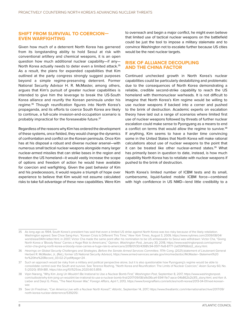#### **SHIFT FROM SURVIVAL TO COERCION— EVEN WARFIGHTING**

Given how much of a deterrent North Korea has garnered from its longstanding ability to hold Seoul at risk with conventional artillery and chemical weapons, it is an open question how much additional nuclear capability—if any— North Korea actually needs to deter even a limited attack.<sup>35</sup> As a result, the plans for expanded capabilities that Kim outlined at the party congress strongly suggest purposes beyond a simple regime-preserving deterrent. Former National Security Advisor H. R. McMaster, among others, argues that Kim's pursuit of greater nuclear capabilities is intended to give him the leverage to break the US-South Korea alliance and reunify the Korean peninsula under his regime.36 Though reunification figures into North Korea's propaganda, and its efforts to coerce South Korea are likely to continue, a full-scale invasion-and-occupation scenario is probably impractical for the foreseeable future.<sup>37</sup>

Regardless of the reasons why Kim has ordered the development of these systems, once fielded, they would change the dynamics of confrontation and conflict on the Korean peninsula. Once Kim has at his disposal a robust and diverse nuclear arsenal—with numerous small tactical nuclear weapons alongside many larger nuclear-armed missiles that can strike bases in the region and threaten the US homeland—it would vastly increase the scope of options and freedom of action he would have available for coercion and warfighting. Given the past behavior of Kim and his predecessors, it would require a triumph of hope over experience to believe that Kim would not assume calculated risks to take full advantage of these new capabilities. Were Kim

to overreach and begin a major conflict, he might even believe that limited use of tactical nuclear weapons on the battlefield could be just the tool to impose a military stalemate and to convince Washington not to escalate further because US cities would be the next nuclear targets.

#### **RISK OF ALLIANCE DECOUPLING AND THE CHINA FACTOR**

Continued unchecked growth in North Korea's nuclear capabilities could be particularly destabilizing and problematic due to the consequences of North Korea demonstrating a reliable, credible second-strike capability to reach the US homeland with thermonuclear warheads. It is not difficult to imagine that North Korea's Kim regime would be willing to use nuclear weapons if backed into a corner and pushed to the brink of destruction. Academic experts on escalation theory have laid out a range of scenarios where limited first use of nuclear weapons followed by threats of further nuclear escalation could make sense to Pyongyang as a means to end a conflict on terms that would allow the regime to survive.<sup>38</sup> If anything, Kim seems to have a harder time convincing some in the United States that North Korea will make rational calculations about use of nuclear weapons to the point that it can be treated like other nuclear-armed states.<sup>39</sup> What has primarily been in question to date, instead, is how much capability North Korea has to retaliate with nuclear weapons if pushed to the brink of destruction.

North Korea's limited number of ICBM tests and its small, cumbersome, liquid-fueled mobile ICBM force—combined with high confidence in US NMD—lend little credibility to a

<sup>35</sup> As long ago as 1994, South Korea's president has said that even a limited US strike against North Korea was too risky because of the likely retaliation. Washington agreed. See Choe Sang-Hun, "Korean Crisis Is Different This Time," *New York Times*, August 3, 2009, [https://www.nytimes.com/2009/08/04/](https://www.nytimes.com/2009/08/04/world/asia/04iht-letter.html) [world/asia/04iht-letter.html;](https://www.nytimes.com/2009/08/04/world/asia/04iht-letter.html) in 2007, Victor Cha made the same point after his nomination to be US ambassador to Seoul was withdrawn: Victor Cha, "Giving North Korea a 'Bloody Nose' Carries a Huge Risk to Americans," Opinion, *Washington Pos*t, January 30, 2018, [https://www.washingtonpost.com/opinions/](https://www.washingtonpost.com/opinions/victor-cha-giving-north-korea-a-bloody-nose-carries-a-huge-risk-to-americans/2018/01/30/43981c94-05f7-11e8-8777-2a059f168dd2_story.html) victor-cha-giving-north-korea-a-bloody-nose-carries-a-huge-risk-to-americans/2018/01/30/43981c94-05f7-11e8-8777-2a059f168dd2\_storv.html.

<sup>36</sup> *Hearings on Global Security Challenges and Strategies, Before the Senate Armed Services Committee*, 117th Cong. (2021) (statement of Lieutenant General Herbert R. McMaster, Jr., (Ret.), former US National Security Advisor), https://www.armed-services.senate.gov/imo/media/doc/McMaster--Statement%20 for%20the%20Record\_03-02-21.pdf#page=24 .

<sup>37</sup> Such an approach would be risky from a military and political perspective alone, but it is also questionable how Pyongyang's regime would be able to consolidate control over the South and survive. See Terence Roehrig, "North Korea and Reunification: The Limits of Nuclear Coercion," *Asian Survey* 60, No. 5 (2020): 859-881, [https://doi.org/10.1525/as.2020.60.5.859.](https://doi.org/10.1525/as.2020.60.5.859)

<sup>38</sup> Vipin Narang, "Why Kim Jong Un Wouldn't Be Irrational to Use a Nuclear Bomb First," *Washington Post*, September 8, 2017, [https://www.washingtonpost.](https://www.washingtonpost.com/outlook/why-kim-jong-un-wouldnt-be-irrational-to-use-a-nuclear-bomb-first/2017/09/08/a9d36ca4-934f-11e7-aace-04b862b2b3f3_story.html) [com/outlook/why-kim-jong-un-wouldnt-be-irrational-to-use-a-nuclear-bomb-first/2017/09/08/a9d36ca4-934f-11e7-aace-04b862b2b3f3\\_story.html](https://www.washingtonpost.com/outlook/why-kim-jong-un-wouldnt-be-irrational-to-use-a-nuclear-bomb-first/2017/09/08/a9d36ca4-934f-11e7-aace-04b862b2b3f3_story.html); and Keir A. Lieber and Daryl G. Press, "The Next Korean War," *Foreign Affairs*, April 1, 2013, [https://www.foreignaffairs.com/articles/north-korea/2013-04-01/next-korean](https://www.foreignaffairs.com/articles/north-korea/2013-04-01/next-korean-war)[war](https://www.foreignaffairs.com/articles/north-korea/2013-04-01/next-korean-war).

<sup>39</sup> See Uri Friedman, "Can America Live with a Nuclear North Korea?," *Atlantic*, September 14, 2017, [https://www.theatlantic.com/international/archive/2017/09/](https://www.theatlantic.com/international/archive/2017/09/north-korea-nuclear-deterrence/539205/) [north-korea-nuclear-deterrence/539205/](https://www.theatlantic.com/international/archive/2017/09/north-korea-nuclear-deterrence/539205/).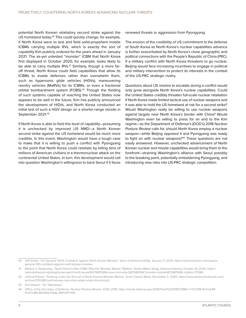potential North Korean retaliatory second strike against the US homeland today.<sup>40</sup> This could quickly change, for example, if North Korea were to test and field solid-propellant mobile ICBMs carrying multiple RVs, which is exactly the sort of capability Kim publicly ordered for the years ahead in January 2021. The as-yet untested "monster" ICBM that North Korea first displayed in October 2020, for example, looks likely to be able to carry multiple RVs.<sup>41</sup> Similarly, though a more faroff threat, North Korea could field capabilities that allow its ICBMs to evade defenses rather than overwhelm them, such as hypersonic glide vehicles (HGVs), maneuvering reentry vehicles (MaRVs) for its ICBMs, or even a fractional orbital bombardment system (FOBS).<sup>42</sup> Though the fielding of such systems capable of reaching the United States now appears to be well in the future, Kim has publicly announced the development of HGVs, and North Korea conducted an initial test of such a HGV design on a shorter-range missile in September 2021.43

If North Korea is able to field this level of capability—presuming it is unchecked by improved US NMD—a North Korean second strike against the US homeland would be much more credible. In this event, Washington would have a tough case to make that it is willing to push a conflict with Pyongyang to the point that North Korea could retaliate by killing tens of millions of American civilians in a thermonuclear attack on the continental United States. In turn, this development would call into question Washington's willingness to back Seoul if it faces renewed threats or aggression from Pyongyang.

The erosion of the credibility of US commitment to the defense of South Korea as North Korea's nuclear capabilities advance is further exacerbated by North Korea's close geographic and political connections with the People's Republic of China (PRC). If a military conflict with North Korea threatens to go nuclear, Beijing would face increasing incentives to engage in political and military intervention to protect its interests in the context of the US-PRC strategic rivalry.

Questions about US resolve to escalate during a conflict would only grow alongside North Korea's nuclear capabilities. Could the United States credibly threaten full-scale nuclear retaliation if North Korea made limited tactical use of nuclear weapons and it was able to hold the US homeland at risk for a second strike? Would Washington really be willing to use nuclear weapons against targets near North Korea's border with China? Would Washington even be willing to press for an end to the Kim regime—as the Department of Defense's (DOD's) 2018 *Nuclear Posture Review* calls for, should North Korea employ a nuclear weapon—while Beijing opposed it and Pyongyang was ready to fight on with nuclear weapons?<sup>44</sup> These questions are not easily answered. However, unchecked advancement of North Korean nuclear and missile capabilities would bring them to the forefront—straining Washington's alliance with Seoul possibly to the breaking point, potentially emboldening Pyongyang, and introducing new risks into US-PRC strategic competition.

<sup>40</sup> Jeff Seldin, "US General '100% Confident' against North Korean Missiles," Voice of America (VOA), January 17, 2020, [https://www.voanews.com/usa/us](https://www.voanews.com/usa/us-general-100-confident-against-north-korean-missiles)[general-100-confident-against-north-korean-missiles.](https://www.voanews.com/usa/us-general-100-confident-against-north-korean-missiles)

<sup>41</sup> Markus V. Garlauskas, "North Korea's New ICBM: Why the 'Monster Missile' Matters," *Korea Watch* (blog), *National Interest*, October 19, 2020, [https://](https://nationalinterest.org/blog/korea-watch/north-korea%E2%80%99s-new-icbm-why-%E2%80%9Cmonster-missile%E2%80%9D-matters-170981) [nationalinterest.org/blog/korea-watch/north-korea%E2%80%99s-new-icbm-why-%E2%80%9Cmonster-missile%E2%80%9D-matters-170981](https://nationalinterest.org/blog/korea-watch/north-korea%E2%80%99s-new-icbm-why-%E2%80%9Cmonster-missile%E2%80%9D-matters-170981).

<sup>42</sup> Joshua Pollack, "Peeking under the Shroud of North Korea's Monster Missile," Arms Control Wonk, November 5, 2020, [https://www.armscontrolwonk.com/](https://www.armscontrolwonk.com/archive/1210289/north-koreas-new-icbm-whats-under-the-shroud/) [archive/1210289/north-koreas-new-icbm-whats-under-the-shroud/.](https://www.armscontrolwonk.com/archive/1210289/north-koreas-new-icbm-whats-under-the-shroud/)

<sup>43</sup> Van Diepen, "Six Takeaways."

<sup>44</sup> Office of the Secretary of Defense, *Nuclear Posture Review*, DOD, 2018, [https://media.defense.gov/2018/Feb/02/2001872886/-1/-1/1/2018-NUCLEAR-](https://media.defense.gov/2018/Feb/02/2001872886/-1/-1/1/2018-NUCLEAR-POSTURE-REVIEW-FINAL-REPORT.PDF)POSTURE-REVIEW-FINAL-REPORT.PDF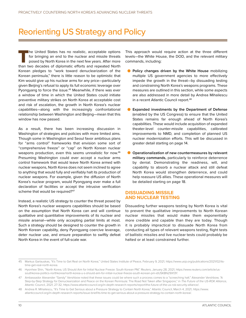### <span id="page-14-0"></span>Reorienting US Strategy and Policy

The United States has no realistic, acceptable options for bringing an end to the nuclear and missile threats posed by North Korea in the next few years. After more than two decades of diplomatic efforts and repeated North for bringing an end to the nuclear and missile threats posed by North Korea in the next few years. After more Korean pledges to "work toward denuclearization of the Korean peninsula," there is little reason to be optimistic that Kim would give up his nuclear arms for any price—particularly given Beijing's refusal to apply its full economic leverage over Pyongyang to force the issue.<sup>45</sup> Meanwhile, if there was ever a window of time in which the United States could initiate preventive military strikes on North Korea at acceptable cost and risk of escalation, the growth in North Korea's nuclear capabilities—along with the increasingly confrontational relationship between Washington and Beijing—mean that this window has now passed.

As a result, there has been increasing discussion in Washington of strategies and policies with more limited aims. Though some in Washington and Seoul favor ambitious plans for "arms control" frameworks that envision some sort of "comprehensive freeze" or "cap" on North Korean nuclear weapons production, even this seems unrealistic for now.46 Presuming Washington could ever accept a nuclear arms control framework that would leave North Korea armed with nuclear weapons, North Korea does not seem inclined to agree to anything that would fully and verifiably halt its production of nuclear weapons. For example, given the diffusion of North Korea's nuclear program, would Pyongyang ever make a full declaration of facilities or accept the intrusive verification scheme that would be required?<sup>47</sup>

Instead, a realistic US strategy to counter the threat posed by North Korea's nuclear weapons capabilities should be based on the assumption that North Korea can and will continue qualitative and quantitative improvements of its nuclear and missile arsenal—while only accepting partial limits at most. Such a strategy should be designed to counter the growth in North Korean capability, deny Pyongyang coercive leverage, deter nuclear use, and ensure preparation to swiftly defeat North Korea in the event of full-scale war.

This approach would require action at the three different levels—the White House, the DOD, and the relevant military commands, including:

- **Policy changes driven by the White House** mobilizing multiple US government agencies to more effectively impede the growth in the threat—by dissuading testing and constraining North Korea's weapons programs. These measures are outlined in this section, while some aspects are also addressed in more detail by Andrea Mihailescu in a recent Atlantic Council report.<sup>48</sup>
- **Expanded investments by the Department of Defense** (enabled by the US Congress) to ensure that the United States remains far enough ahead of North Korea's capabilities. These would include acquisition of expanded theater-level counter-missile capabilities, calibrated improvements to NMD, and completion of planned US nuclear modernization efforts. This will be discussed in greater detail starting on page 14.
- **Operationalization of new countermeasures by relevant military commands,** particularly to reinforce deterrence by denial. Demonstrating the readiness, will, and capability to absorb a nuclear attack and still defeat North Korea would strengthen deterrence, and could help reassure US allies. These operational measures will be detailed starting on page 18.

#### **DISSUADING MISSILE AND NUCLEAR TESTING**

Dissuading further weapons testing by North Korea is vital to prevent the qualitative improvements to North Korean nuclear missiles that would make them exponentially more credible and capable than they are today. Though it is probably impractical to dissuade North Korea from conducting all types of relevant weapons testing, flight tests of ballistic missiles and live nuclear tests could probably be halted or at least constrained further.

48 Andrea R. Mihailescu, "It's Time to Get Serious about a Pressure Strategy to Contain North Korea," Atlantic Council, March 4, 2021, [https://www.](https://www.atlanticcouncil.org/in-depth-research-reports/issue-brief/its-time-to-get-serious-about-a-pressure-strategy-to-contain-north-korea/) [atlanticcouncil.org/in-depth-research-reports/issue-brief/its-time-to-get-serious-about-a-pressure-strategy-to-contain-north-korea/.](https://www.atlanticcouncil.org/in-depth-research-reports/issue-brief/its-time-to-get-serious-about-a-pressure-strategy-to-contain-north-korea/)

<sup>45</sup> Markus Garlauskas, "It's Time to Get Real on North Korea," United States Institute of Peace, February 9, 2021, [https://www.usip.org/publications/2021/02/its](https://www.usip.org/publications/2021/02/its-time-get-real-north-korea)[time-get-real-north-korea.](https://www.usip.org/publications/2021/02/its-time-get-real-north-korea)

<sup>46</sup> Hyonhee Shin, "North Korea, US Should Aim for Initial Nuclear Freeze: South Korean PM," *Reuters*, January 28, 2021, [https://www.reuters.com/article/us](https://www.reuters.com/article/us-southkorea-politics-northkorea/north-korea-u-s-should-aim-for-initial-nuclear-freeze-south-korean-pm-idUSKBN29X13Y)[southkorea-politics-northkorea/north-korea-u-s-should-aim-for-initial-nuclear-freeze-south-korean-pm-idUSKBN29X13Y.](https://www.reuters.com/article/us-southkorea-politics-northkorea/north-korea-u-s-should-aim-for-initial-nuclear-freeze-south-korean-pm-idUSKBN29X13Y)

<sup>47</sup> Ambassador Alexander "Sandy" Vershbow noted that these issues could be where such a process comes to a "screeching halt." Alexander Vershbow, "A Step-by-Step Strategy for Denuclearization and Peace on the Korean Peninsula: The Road Not Taken after Singapore," in *The Future of the US-ROK Alliance*, Atlantic Council, 2021, 27-32, [https://www.atlanticcouncil.org/in-depth-research-reports/report/the-future-of-the-us-rok-security-alliance/.](https://www.atlanticcouncil.org/in-depth-research-reports/report/the-future-of-the-us-rok-security-alliance/)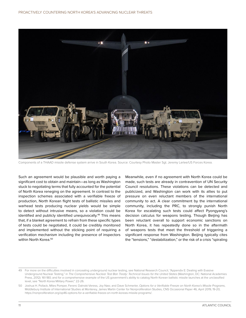

Components of a THAAD missile defense system arrive in South Korea. Source: Courtesy Photo Master Sgt. Jeremy Larlee/US Forces Korea.

Such an agreement would be plausible and worth paying a significant cost to obtain and maintain—as long as Washington stuck to negotiating terms that fully accounted for the potential of North Korea reneging on the agreement. In contrast to the inspection schemes associated with a verifiable freeze of production, North Korean flight tests of ballistic missiles and warhead tests producing nuclear yields would be simple to detect without intrusive means, so a violation could be identified and publicly identified unequivocally.<sup>49</sup> This means that, if a blanket agreement to refrain from these specific types of tests could be negotiated, it could be credibly monitored and implemented without the sticking point of requiring a verification mechanism including the presence of inspectors within North Korea.<sup>50</sup>

Meanwhile, even if no agreement with North Korea could be made, such tests are already in contravention of UN Security Council resolutions. These violations can be detected and publicized, and Washington can work with its allies to put pressure on even reluctant members of the international community to act. A clear commitment by the international community, including the PRC, to strongly punish North Korea for escalating such tests could affect Pyongyang's decision calculus for weapons testing. Though Beijing has been reluctant overall to support economic sanctions on North Korea, it has repeatedly done so in the aftermath of weapons tests that meet the threshold of triggering a significant response from Washington. Beijing typically cites the "tensions," "destabilization," or the risk of a crisis "spiraling

<sup>49</sup> For more on the difficulties involved in concealing underground nuclear testing, see National Research Council, "Appendix E: Dealing with Evasive Underground Nuclear Testing," in *The Comprehensive Nuclear Test Ban Treaty: Technical Issues for the United States* (Washington, DC: National Academies Press, 2012): 161-180; and for a comprehensive example of the US government's ability to catalog North Korean ballistic missile launches at the unclassified level, see "North Korea Military Power," 22-26.

<sup>50</sup> Joshua H. Pollack, Miles Pomper, Ferenc Dalnoki-Veress, Joy Nasr, and Dave Schmerler, *Options for a Verifiable Freeze on North Korea's Missile Programs*, Middlebury Institute of International Studies at Monterey, James Martin Center for Nonproliferation Studies, CNS Occasional Paper 46, April 2019, 19-20, <https://nonproliferation.org/op46-options-for-a-verifiable-freeze-on-north-koreas-missile-programs/>.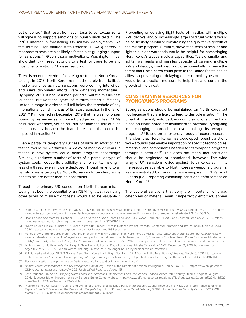out of control" that result from such tests to contextualize its willingness to support sanctions to punish such tests.<sup>51</sup> The PRC's interest in forestalling US military deployments like the Terminal High-Altitude Area Defense (THAAD) battery in response to tests are also likely a factor in its grudging support for sanctions.52 Given these motivations, Washington must show that it will react strongly to a test for there to be any incentive for a strong Chinese reaction.

There is recent precedent for seeing restraint in North Korean testing. In 2018, North Korea refrained entirely from ballistic missile launches as new sanctions were coming into effect and Kim's diplomatic efforts were gathering momentum.<sup>53</sup> By spring 2019, it had resumed periodic ballistic missile test launches, but kept the types of missiles tested sufficiently limited in range in order to still fall below the threshold of any international punishment as of its latest launches in the fall of 2021.54 Kim warned in December 2019 that he was no longer bound by his earlier self-imposed pledges not to test ICBMs or nuclear weapons, yet he still did not take the risk of such tests—possibly because he feared the costs that could be imposed in reaction.<sup>55</sup>

Even a partial or temporary success of such an effort to halt testing would be worthwhile. A delay of months or years in testing a new system could delay progress accordingly. Similarly, a reduced number of tests of a particular type of system could reduce its credibility and reliability, making it less of a threat, even if it were deployed. Though an end to all ballistic missile testing by North Korea would be ideal, some constraints are better than no constraints.

Though the primary US concern on North Korean missile testing has been the potential for an ICBM flight test, restricting other types of missile flight tests would also be valuable.<sup>56</sup> Preventing or delaying flight tests of missiles with multiple RVs, decoys, and/or increasingly large solid fuel motors would be particularly helpful to constraining the qualitative growth of the missile program. Similarly, preventing tests of smaller and lighter nuclear warheads would be helpful for hamstringing North Korea's tactical nuclear capabilities. Tests of smaller and lighter warheads and missiles capable of carrying multiple RVs and decoys, combined, would exponentially increase the threat that North Korea could pose to the United States and its allies, so preventing or delaying either or both types of tests would be a practical measure to help limit and contain the growth of the threat.

#### **CONSTRAINING RESOURCES FOR PYONGYANG'S PROGRAMS**

Strong sanctions should be maintained on North Korea but not because they are likely to lead to denuclearization.<sup>57</sup> The broad, if unevenly enforced, economic sanctions currently in place on North Korea are insufficient to pressure Pyongyang into changing approach or even halting its weapons programs.58 Based on an extensive body of expert research, it is clear that North Korea has developed robust sanctions work-arounds that enable importation of specific technologies, materials, and components needed for its weapons programs through subterfuge.<sup>59</sup> This does not mean that sanctions should be neglected or abandoned, however. The wide array of UN sanctions levied against North Korea still limits the resources available to North Korea's weapons programs, as demonstrated by the numerous examples in UN Panel of Experts (PoE) reporting examining sanctions enforcement on North Korea.<sup>60</sup>

The sectoral sanctions that deny the importation of broad categories of material, even if imperfectly enforced, appear

55 Anthony Kuhn, "North Korea's Kim Jong Un Says He Is No Longer Bound by Nuclear Missile Moratorium," *NPR*, December 31, 2019, [https://www.npr.](https://www.npr.org/2019/12/31/792793583/north-koreas-kim-jong-un-says-he-is-no-longer-bound-by-nuclear-missile-moratoriu) [org/2019/12/31/792793583/north-koreas-kim-jong-un-says-he-is-no-longer-bound-by-nuclear-missile-moratoriu.](https://www.npr.org/2019/12/31/792793583/north-koreas-kim-jong-un-says-he-is-no-longer-bound-by-nuclear-missile-moratoriu)

<sup>51</sup> Rodrigo Campos and Hyonhee Shin, "UN Security Council Imposes New Sanctions on North Korea over Missile Test," *Reuters*, December 22, 2017, [https://](https://www.reuters.com/article/us-northkorea-missiles/u-n-security-council-imposes-new-sanctions-on-north-korea-over-missile-test-idUSKBN1EG0HV) [www.reuters.com/article/us-northkorea-missiles/u-n-security-council-imposes-new-sanctions-on-north-korea-over-missile-test-idUSKBN1EG0HV](https://www.reuters.com/article/us-northkorea-missiles/u-n-security-council-imposes-new-sanctions-on-north-korea-over-missile-test-idUSKBN1EG0HV).

<sup>52</sup> Brian Padden and Margaret Besheer, "US, China Agree on North Korea Sanctions," *VOA News*, February 24, 2016 and updated February 25, 2016, [https://](https://www.voanews.com/a/us-china-agree-on-north-korea-sanctions/3207294.html) [www.voanews.com/a/us-china-agree-on-north-korea-sanctions/3207294.html.](https://www.voanews.com/a/us-china-agree-on-north-korea-sanctions/3207294.html)

<sup>53</sup> "North Korean Missile Launches & Nuclear Tests: 1984-Present," Missile Defense Project (website), Center for Strategic and International Studies, July 30, 2020,<https://missilethreat.csis.org/north-korea-missile-launches-1984-present/>.

<sup>54</sup> Hayes Brown, "Trump Cares More About His Friendship with Kim Jong-Un than North Korea's Missile Tests," *Buzzfeed News*, September 9, 2019, [https://](https://www.buzzfeednews.com/article/hayesbrown/trump-allow-north-korea-kim-missile-test) [www.buzzfeednews.com/article/hayesbrown/trump-allow-north-korea-kim-missile-test;](https://www.buzzfeednews.com/article/hayesbrown/trump-allow-north-korea-kim-missile-test) and "US, Europeans Condemn North Korea Submarine Missile Launch at UN," *France24*, October 21, 2021, [https://www.france24.com/en/americas/20211021-us-europeans-condemn-north-korea-submarine-missile-launch-at-un.](https://www.france24.com/en/americas/20211021-us-europeans-condemn-north-korea-submarine-missile-launch-at-un)

<sup>56</sup> Phil Stewart and Idrees Ali, "US General Says North Korea Might Flight Test New ICBM Design 'in the Near Future'," *Reuters*, March 16, 2021, [https://www.](https://www.reuters.com/article/us-usa-northkorea-pentagon/u-s-general-says-north-korea-might-flight-test-new-icbm-design-in-the-near-future-idUSKBN2B82KM) [reuters.com/article/us-usa-northkorea-pentagon/u-s-general-says-north-korea-might-flight-test-new-icbm-design-in-the-near-future-idUSKBN2B82KM](https://www.reuters.com/article/us-usa-northkorea-pentagon/u-s-general-says-north-korea-might-flight-test-new-icbm-design-in-the-near-future-idUSKBN2B82KM).

<sup>57</sup> For more details on this premise, see Garlauskas, "It's Time to Get Real on North Korea."

<sup>58</sup> *Annual Threat Assessment of the US Intelligence Community*, Office of the Director of National Intelligence, April 9, 2021, 15-16, https://www.dni.gov/files/ ODNI/documents/assessments/ATA-2021-Unclassified-Report.pdf#page=15.

<sup>59</sup> John Park and Jim Walsh, *Stopping North Korea, Inc.: Sanctions Effectiveness and Unintended Consequences*, MIT Security Studies Program, August 2016, 13, accessible on Harvard Kennedy School's Belfer Center website, [https://www.belfercenter.org/sites/default/files/legacy/files/Stopping%20North%20](https://www.belfercenter.org/sites/default/files/legacy/files/Stopping%20North%20Korea%20Inc%20Park%20and%20Walsh%20.pdf) [Korea%20Inc%20Park%20and%20Walsh%20.pdf](https://www.belfercenter.org/sites/default/files/legacy/files/Stopping%20North%20Korea%20Inc%20Park%20and%20Walsh%20.pdf) .

<sup>60</sup> President of the UN Security Council and [UN Panel of Experts Established Pursuant to Security Council Resolution 1874 \(2009\),](https://digitallibrary.un.org/search?f1=author&as=1&sf=title&so=a&rm=&m1=p&p1=UN.%20Panel%20of%20Experts%20Established%20pursuant%20to%20Security%20Council%20Resolution%201874%20%282009%29&ln=en) "Note [Transmitting Final Report of the PoE Concerning the Democratic People's Republic of Korea]," Letter Dated February 5, 2021, United Nations Security Council, S/2021/211, March 4, 2021, 3-6, [https://digitallibrary.un.org/record/3906140?ln=en.](https://digitallibrary.un.org/record/3906140?ln=en)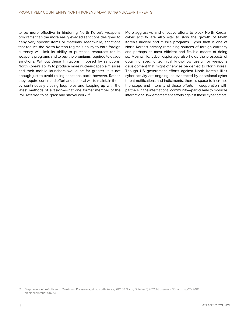to be more effective in hindering North Korea's weapons programs than the more easily evaded sanctions designed to deny very specific items or materials. Meanwhile, sanctions that reduce the North Korean regime's ability to earn foreign currency will limit its ability to purchase resources for its weapons programs and to pay the premiums required to evade sanctions. Without these limitations imposed by sanctions, North Korea's ability to produce more nuclear-capable missiles and their mobile launchers would be far greater. It is not enough just to avoid rolling sanctions back, however. Rather, they require continued effort and political will to maintain them by continuously closing loopholes and keeping up with the latest methods of evasion—what one former member of the PoE referred to as "pick and shovel work."<sup>61</sup>

More aggressive and effective efforts to block North Korean cyber activity are also vital to slow the growth of North Korea's nuclear and missile programs. Cyber theft is one of North Korea's primary remaining sources of foreign currency and perhaps its most efficient and flexible means of doing so. Meanwhile, cyber espionage also holds the prospects of obtaining specific technical know-how useful for weapons development that might otherwise be denied to North Korea. Though US government efforts against North Korea's illicit cyber activity are ongoing, as evidenced by occasional cyber threat notifications and indictments, there is space to increase the scope and intensity of these efforts in cooperation with partners in the international community—particularly to mobilize international law enforcement efforts against these cyber actors.

<sup>61</sup> Stephanie Kleine-Ahlbrandt, "Maximum Pressure against North Korea, RIP," 38 North, October 7, 2019, [https://www.38north.org/2019/10/](https://www.38north.org/2019/10/skleineahlbrandt100719/) [skleineahlbrandt100719/.](https://www.38north.org/2019/10/skleineahlbrandt100719/)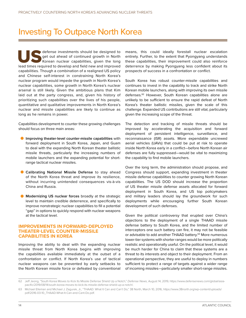### <span id="page-18-0"></span>Investing To Outpace North Korea

Lead times investments should be designed to get out ahead of continued growth in North Korean nuclear capabilities, given the long lead times required to develop and field new and improved get out ahead of continued growth in North Korean nuclear capabilities, given the long capabilities. Though a combination of a realigned US policy and Chinese self-interest in constraining North Korea's nuclear program would impede the growth in North Korea's nuclear capabilities, some growth in North Korea's nuclear arsenal is still likely. Given the ambitious plans that Kim laid out at the party congress, and, given his history of prioritizing such capabilities over the lives of his people, quantitative and qualitative improvements in North Korea's nuclear and missile capabilities are likely to continue as long as he remains in power.

Capabilities development to counter these growing challenges should focus on three main areas:

- •**Improving theater-level counter-missile capabilities** with forward deployment in South Korea, Japan, and Guam to deal with the expanding North Korean theater ballistic missile threats, particularly the increasing numbers of mobile launchers and the expanding potential for shortrange tactical nuclear missiles.
- **Calibrating National Missile Defense** to stay ahead of the North Korea threat and improve its resilience, without incurring unintended consequences vis-à-vis China and Russia.
- **Modernizing US nuclear forces** broadly at the strategic level to maintain credible deterrence, and specifically to improve nonstrategic nuclear capabilities to fill a potential "gap" in options to quickly respond with nuclear weapons at the tactical level.

#### **IMPROVEMENTS IN FORWARD-DEPLOYED THEATER-LEVEL COUNTER-MISSILE CAPABILITIES IN KOREA**

Improving the ability to deal with the expanding nuclear missile threat from North Korea begins with improving the capabilities available immediately at the outset of a confrontation or conflict. If North Korea's use of tactical nuclear weapons can be prevented by early setbacks to the North Korean missile force or defeated by conventional means, this could ideally forestall nuclear escalation entirely. Further, to the extent that Pyongyang understands these capabilities, their improvement could also reinforce deterrence by making Pyongyang less confident about its prospects of success in a confrontation or conflict.

South Korea has robust counter-missile capabilities and continues to invest in the capability to track and strike North Korean mobile launchers, along with improving its own missile defenses.<sup>62</sup> However, South Korean capabilities alone are unlikely to be sufficient to ensure the rapid defeat of North Korea's theater ballistic missiles, given the scale of this challenge. Expanded US contributions are still vital, particularly given the increasing scope of the threat.

The detection and tracking of missile threats should be improved by accelerating the acquisition and forward deployment of persistent intelligence, surveillance, and reconnaissance (ISR) assets. More expendable uncrewed aerial vehicles (UAVs) that could be put at risk to operate inside North Korea early in a conflict—before North Korean air defenses are fully suppressed—would be vital to maximizing the capability to find mobile launchers.

Over the long term, the administration should propose, and Congress should support, expanding investment in theater missile defense capabilities to counter growing North Korean capabilities. The US DOD should increase the proportion of US theater missile defense assets allocated for forward deployment in South Korea, and US top policymakers and military leaders should lay the groundwork for such deployments while encouraging further South Korean development of such defenses.

Given the political controversy that erupted over China's objections to the deployment of a single THAAD missile defense battery to South Korea, and the limited number of interceptors one such battery can fire, it may not be feasible or advisable to add another THAAD battery.<sup>63</sup> More numerous lower-tier systems with shorter ranges would be more politically realistic and operationally useful. On the political level, it would be much harder for China to claim that these systems are a threat to its interests and object to their deployment. From an operational perspective, they are useful to deploy in numbers sufficient to protect a range of targets against a wider range of incoming missiles—particularly smaller short-range missiles.

<sup>62</sup> Jeff Jeong, "South Korea Moves to Kick Its Missile Defense Shield Up a Notch," *Defense News*, August 14, 2019, [https://www.defensenews.com/global/asia](https://www.defensenews.com/global/asia-pacific/2019/08/14/south-korea-moves-to-kick-its-missile-defense-shield-up-a-notch/)[pacific/2019/08/14/south-korea-moves-to-kick-its-missile-defense-shield-up-a-notch/.](https://www.defensenews.com/global/asia-pacific/2019/08/14/south-korea-moves-to-kick-its-missile-defense-shield-up-a-notch/)

<sup>63</sup> Michael Elleman and Michael J. Zagurek, Jr., "THAAD: What It Can and Can't Do," 38 North, March 10, 2016, [https://www.38north.org/wp-content/uploads/](https://www.38north.org/wp-content/uploads/pdf/2016-03-10_THAAD-What-It-Can-and-Cant-Do.pdf) [pdf/2016-03-10\\_THAAD-What-It-Can-and-Cant-Do.pdf](https://www.38north.org/wp-content/uploads/pdf/2016-03-10_THAAD-What-It-Can-and-Cant-Do.pdf).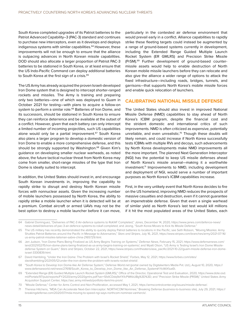South Korea completed upgrades of its Patriot batteries to the Patriot Advanced Capability–3 (PAC-3) standard and continues to purchase new interceptors, even as it develops and deploys indigenous systems with similar capabilities.<sup>64</sup> However, these improvements will not be enough to ensure that the alliance is outpacing advances in North Korean missile capabilities. DOD should also allocate a larger proportion of Patriot PAC-3 batteries to be stationed in South Korea, or at least ensure that the US Indo-Pacific Command can deploy additional batteries to South Korea at the first sign of a crisis.<sup>65</sup>

The US Army has already acquired the proven Israeli-developed Iron Dome system that is designed to intercept shorter-ranged rockets and missiles. The Army is training and preparing only two batteries—one of which was deployed to Guam in October 2021 for testing—with plans to acquire a follow-on system to perform a similar role.<sup>66</sup> Batteries of Iron Dome, and its successors, should be stationed in South Korea to ensure they can reinforce deterrence and be available at the outset of a conflict. However, given that each battery can only intercept a limited number of incoming projectiles, such US capabilities alone would only be a partial improvement.<sup>67</sup> South Korea also plans a larger program to develop a domestic version of Iron Dome to enable a more comprehensive defense, and this should be strongly supported by Washington.<sup>68</sup> Given Kim's guidance on developing smaller nuclear warheads, as noted above, the future tactical nuclear threat from North Korea may come from smaller, short-range missiles of the type that Iron Dome is ideally suited to intercept.

In addition, the United States should invest in, and encourage South Korean investments in, improving the capability to rapidly strike to disrupt and destroy North Korean missile forces with nonnuclear assets. Given the increasing number of mobile launchers possessed by North Korea, the ability to rapidly strike a mobile launcher when it is detected will be at a premium. Combat aircraft or armed UAVs may not be the best option to destroy a mobile launcher before it can move,

particularly in the contested air defense environment that would prevail early in a conflict. Alliance capabilities to rapidly strike these fleeting targets could instead be augmented by a range of ground-based systems currently in development, including the Extended Range Guided Multiple Launch Rocket System (ER GMLRS) and Precision Strike Missile (PrSM).69 Further development of ground-based countermissile assets would help to enable destruction of North Korean mobile missile launchers before they can relocate and also give the alliance a wider range of options to attack the fixed infrastructure—including roads, bridges, tunnels, and garrisons—that supports North Korea's mobile missile forces and enable quick relocation of launchers.

#### **CALIBRATING NATIONAL MISSILE DEFENSE**

The United States should also invest in improved National Missile Defense (NMD) capabilities to stay ahead of North Korea's ICBM program, despite the financial cost and the strident domestic and international critics of such improvements. NMD is often criticized as expensive, potentially unreliable, and even unrealistic.<sup>70</sup> Though these doubts will likely remain, and could increase if North Korea successfully tests ICBMs with multiple RVs and decoys, such advancements by North Korea developments make NMD improvements all the more important. The planned Next Generation Interceptor (NGI) has the potential to keep US missile defenses ahead of North Korea's missile arsenal—making it a worthwhile investment.71 Improvements to NMD, including development and deployment of NGI, would serve a number of important purposes as North Korea's ICBM capabilities increase.

First, in the very unlikely event that North Korea decides to fire on the US homeland, improving NMD reduces the prospects of massive casualties and destruction, even if it cannot guarantee an impenetrable defense. Given that even a single warhead of similar yield as North Korea's last test would kill millions if it hit the most populated areas of the United States, each

<sup>64</sup> Gabriel Dominguez, "Deliveries of PAC-3 Air-defence systems to RoKAF Completed," *Janes*, December 14, 2020, [https://www.janes.com/defence-news/](https://www.janes.com/defence-news/news-detail/deliveries-of-pac-3-air-defence-systems-to-rokaf-completed) [news-detail/deliveries-of-pac-3-air-defence-systems-to-rokaf-completed](https://www.janes.com/defence-news/news-detail/deliveries-of-pac-3-air-defence-systems-to-rokaf-completed); and Jeong, "South Korea Moves to Kick Its Missile Defense."

<sup>65</sup> The US military has recently demonstrated the ability to quickly deploy Patriot batteries to locations in the Pacific; see Seth Robson, "Moving Missiles: Army Shuttles Patriot Batteries around the Pacific in Message to Adversaries," *Stars and Stripes*, July 16, 2021, [https://www.stripes.com/branches/army/2021-07-16/](https://www.stripes.com/branches/army/2021-07-16/us-army-patriot-missiles-talisman-sabre-china-2165729.html) [us-army-patriot-missiles-talisman-sabre-china-2165729.html.](https://www.stripes.com/branches/army/2021-07-16/us-army-patriot-missiles-talisman-sabre-china-2165729.html)

<sup>66</sup> Jen Judson, "Iron Dome Plans Being Finalized as US Army Begins Training on Systems," *Defense News*, February 15, 2021, [https://www.defensenews.com/](https://www.defensenews.com/land/2021/02/15/iron-dome-plans-being-finalized-as-us-army-begins-training-on-systems/) [land/2021/02/15/iron-dome-plans-being-finalized-as-us-army-begins-training-on-systems/;](https://www.defensenews.com/land/2021/02/15/iron-dome-plans-being-finalized-as-us-army-begins-training-on-systems/) and Wyatt Olson, "US Army is Testing Israel's Iron Dome Missiledefense System on Guam," *Stars and Stripes*, October 22, 2021, [https://www.stripes.com/theaters/asia\\_pacific/2021-10-22/guam-missile-defense-iron-dome](https://www.stripes.com/theaters/asia_pacific/2021-10-22/guam-missile-defense-iron-dome-israel-3330839.html)[israel-3330839.html.](https://www.stripes.com/theaters/asia_pacific/2021-10-22/guam-missile-defense-iron-dome-israel-3330839.html)

<sup>67</sup> David Hambling, "Under the Iron Dome: The Problem with Israel's Rocket Shield," *Forbes*, May 12, 2021, [https://www.forbes.com/sites/](https://www.forbes.com/sites/davidhambling/2021/05/12/under-the-iron-dome-the-problem-with-israels-rocket-shield/) [davidhambling/2021/05/12/under-the-iron-dome-the-problem-with-israels-rocket-shield/](https://www.forbes.com/sites/davidhambling/2021/05/12/under-the-iron-dome-the-problem-with-israels-rocket-shield/).

<sup>68</sup> "South Korea to Develop Iron Dome-like Air Defense System," Defense [World.net](http://World.net) (portal owned by Digitalwriters Media Pvt. Ltd.), August 10, 2020, https:// www.defenseworld.net/news/27618/South\_Korea\_to\_Develop\_Iron\_Dome\_like\_Air\_Defense\_System#.YIcWiX1ueEt.

<sup>69</sup> "Extended Range (ER) Guided Multiple Launch Rocket System (GMLRS)," Office of the Director, Operational Test and Evaluation, 2020, [https://www.dote.osd.](https://www.dote.osd.mil/Portals/97/pub/reports/FY2020/army/2020gmlrs.pdf?ver=SfzIiCDdq9xYX1cPWKkUBg%3D%3D) [mil/Portals/97/pub/reports/FY2020/army/2020gmlrs.pdf?ver=SfzIiCDdq9xYX1cPWKkUBg%3D%3D](https://www.dote.osd.mil/Portals/97/pub/reports/FY2020/army/2020gmlrs.pdf?ver=SfzIiCDdq9xYX1cPWKkUBg%3D%3D); and "Precision Strike Missile (PRSM)," United States Army Acquisition Support Center, [https://asc.army.mil/web/portfolio-item/ms-prsm/.](https://asc.army.mil/web/portfolio-item/ms-prsm/)

<sup>70</sup> "Missile Defense," Center for Arms Control and Non-Proliferation, accessed May 1, 2021, [https://armscontrolcenter.org/issues/missile-defense/.](https://armscontrolcenter.org/issues/missile-defense/)

<sup>71</sup> Theresa Hitchens, "MDA Can Accelerate Next-Gen Interceptor: NORTHCOM Nominee," Breaking Defense (business-to-business site), July 29, 2021, [https://](https://breakingdefense.com/2020/07/mda-moving-to-speed-ngi-says-northcom-nominee-vanherck/) [breakingdefense.com/2020/07/mda-moving-to-speed-ngi-says-northcom-nominee-vanherck/](https://breakingdefense.com/2020/07/mda-moving-to-speed-ngi-says-northcom-nominee-vanherck/).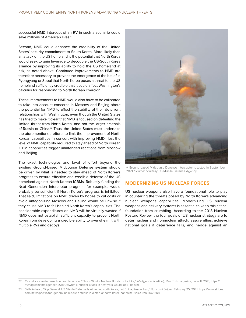successful NMD intercept of an RV in such a scenario could save millions of American lives.<sup>72</sup>

Second, NMD could enhance the credibility of the United States' security commitment to South Korea. More likely than an attack on the US homeland is the potential that North Korea would seek to gain leverage to decouple the US-South Korea alliance by improving its ability to hold the US homeland at risk, as noted above. Continued improvements to NMD are therefore necessary to prevent the emergence of the belief in Pyongyang or Seoul that North Korea poses a threat to the US homeland sufficiently credible that it could affect Washington's calculus for responding to North Korean coercion.

These improvements to NMD would also have to be calibrated to take into account concerns in Moscow and Beijing about the potential for NMD to affect the stability of their deterrent relationships with Washington, even though the United States has tried to make it clear that NMD is focused on defeating the limited threat from North Korea, and not the larger arsenals of Russia or China.<sup>73</sup> Thus, the United States must undertake the aforementioned efforts to limit the improvement of North Korean capabilities in concert with improving NMD—lest the level of NMD capability required to stay ahead of North Korean ICBM capabilities trigger unintended reactions from Moscow and Beijing.

The exact technologies and level of effort beyond the existing Ground-based Midcourse Defense system should be driven by what is needed to stay ahead of North Korea's progress to ensure effective and credible defense of the US homeland against North Korean ICBMs. Robustly funding the Next Generation Interceptor program, for example, would probably be sufficient if North Korea's progress is inhibited. That said, limitations on NMD driven by hopes to cut costs or avoid antagonizing Moscow and Beijing would be unwise if they cause NMD to fall behind North Korea's capabilities. The considerable expenditures on NMD will be virtually wasted if NMD does not establish sufficient capacity to prevent North Korea from developing a credible ability to overwhelm it with multiple RVs and decoys.



A Ground-based Midcourse Defense interceptor is tested in September 2021. Source: courtesy US Missile Defense Agency.

#### **MODERNIZING US NUCLEAR FORCES**

US nuclear weapons also have a foundational role to play in countering the threats posed by North Korea's advancing nuclear weapons capabilities. Modernizing US nuclear weapons and delivery systems is essential to keep this critical foundation from crumbling. According to the 2018 Nuclear Posture Review, the four goals of US nuclear strategy are to deter nuclear and nonnuclear attack, assure allies, achieve national goals if deterrence fails, and hedge against an

<sup>72</sup> Casualty estimate based on calculations in: "This Is What a Nuclear Bomb Looks Like," *Intelligencer* (vertical), *New Yor*k magazine, June 11, 2018, [https://](https://nymag.com/intelligencer/2018/06/what-a-nuclear-attack-in-new-york-would-look-like.html) [nymag.com/intelligencer/2018/06/what-a-nuclear-attack-in-new-york-would-look-like.html](https://nymag.com/intelligencer/2018/06/what-a-nuclear-attack-in-new-york-would-look-like.html).

<sup>73</sup> Seth Robson, "Top General: US Missile Defense Is Aimed at North Korea, not China, Russia, Iran," *Stars and Stripes*, February 25, 2021, [https://www.stripes.](https://www.stripes.com/news/pacific/top-general-us-missile-defense-is-aimed-at-north-korea-not-china-russia-iran-1.663508) [com/news/pacific/top-general-us-missile-defense-is-aimed-at-north-korea-not-china-russia-iran-1.663508.](https://www.stripes.com/news/pacific/top-general-us-missile-defense-is-aimed-at-north-korea-not-china-russia-iran-1.663508)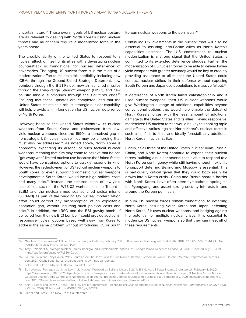uncertain future.74 These overall goals of US nuclear posture are all relevant to dealing with North Korea's rising nuclear threats and all of them require a modernized force in the years ahead.

The credible ability of the United States to respond to a nuclear attack on itself or its allies with a devastating nuclear counterattack is foundational for nuclear deterrence of adversaries. The aging US nuclear force is in the midst of a modernization effort to maintain this credibility, including new ICBMs through the Ground-Based Strategic Deterrent, new bombers through the B-21 Raider, new air-launched missiles through the Long-Range Standoff weapon (LRSO), and new ballistic missile submarines through the *Columbia* class.75 Ensuring that these updates are completed, and that the United States maintains a robust strategic nuclear capability, will help provide a firm foundation for US nuclear deterrence of North Korea.

However, because the United States withdrew its nuclear weapons from South Korea and disinvested from lowyield nuclear weapons since the 1990s, a perceived gap in nonstrategic US nuclear capabilities may be emerging that must also be addressed.76 As noted above, North Korea is apparently expanding its arsenal of such tactical nuclear weapons, meaning that Kim may come to believe that he can "get away with" limited nuclear use because the United States would have constrained options to quickly respond in kind. However, the redeployment of US tactical nuclear weapons to South Korea, or even supporting domestic nuclear weapons development in South Korea, would incur high political costs and many risks.77 Instead, the reintroduction of low-yield capabilities such as the W76-02 warhead on the Trident II SLBM and the nuclear-armed sea-launched cruise missile (SLCM-N) as part of the ongoing US nuclear modernization effort could correct any misperception of an exploitable escalation gap, without incurring such political costs and risks.78 In addition, the LRSO and the B61 gravity bomb—if delivered from the new B-21 bomber—could provide additional responsive nuclear options based well away from Korea to address the same problem without introducing US or South

Korean nuclear weapons to the peninsula.79

Continuing US investments in the nuclear triad will also be essential to assuring Indo-Pacific allies as North Korea's capabilities increase. The US commitment to nuclear modernization is a strong signal that the United States is committed to its extended deterrence pledges. Further, the modernization of US nuclear forces to be able to deliver loweryield weapons with greater accuracy would be key to credibly providing assurance to allies that the United States could conduct nuclear strikes in their defense without exposing South Korean and Japanese populations to massive fallout.<sup>80</sup>

If deterrence of North Korea failed catastrophically and it used nuclear weapons, then US nuclear weapons would give Washington a range of additional capabilities beyond conventional options that would help enable the defeat of North Korea's forces with the least amount of additional damage to the United States and its allies. Having responsive, modernized US nuclear forces would be key to enabling rapid and effective strikes against North Korea's nuclear force in such a conflict, to limit, and ideally forestall, any additional North Korean nuclear strikes.

Finally, as all three of the United States' nuclear rivals (Russia, China, and North Korea) continue to expand their nuclear forces, building a nuclear arsenal that is able to respond to a North Korea contingency while still having enough flexibility to support deterring Beijing and Moscow is essential. This is particularly critical given that they could both easily be drawn into a Korea crisis—China and Russia share a border with North Korea, have often been sympathetic apologists for Pyongyang, and assert strong security interests in and around the Korean peninsula.

In sum, US nuclear forces remain foundational to deterring North Korea, assuring South Korea and Japan, defeating North Korea if it uses nuclear weapons, and hedging against the potential for multiple nuclear crises. It is essential to modernize US nuclear weapons so that they can meet all of these requirements.

<sup>74</sup> "Nuclear Posture Review," Office of the Secretary of Defense, February 2018, [https://media.defense.gov/2018/Feb/02/2001872886/-1/-1/1/2018-NUCLEAR-](https://media.defense.gov/2018/Feb/02/2001872886/-1/-1/1/2018-NUCLEAR-POSTURE-REVIEW-FINAL-REPORT.PDF)[POSTURE-REVIEW-FINAL-REPORT.PDF.](https://media.defense.gov/2018/Feb/02/2001872886/-1/-1/1/2018-NUCLEAR-POSTURE-REVIEW-FINAL-REPORT.PDF)

<sup>75</sup> Amy F. Woolf, "US Strategic Nuclear Forces: Background, Developments, and Issues," Congressional Research Service, RL33640, Updated July 13, 2021, [https://sgp.fas.org/crs/nuke/RL33640.pdf.](https://sgp.fas.org/crs/nuke/RL33640.pdf)

<sup>76</sup> Lauren Sukin and Toby Dalton, "Why South Korea Shouldn't Build Its Own Nuclear Bombs," *War on the Rocks*, October 26, 2021, [https://warontherocks.](https://warontherocks.com/2021/10/why-south-korea-shouldnt-build-its-own-nuclear-bombs/) [com/2021/10/why-south-korea-shouldnt-build-its-own-nuclear-bombs/.](https://warontherocks.com/2021/10/why-south-korea-shouldnt-build-its-own-nuclear-bombs/)

<sup>77</sup> Sukin and Dalton, "Why South Korea Shouldn't Build."

<sup>78</sup> Ben Werner, "Pentagon Confirms Low-Yield Nuclear Warhead on Ballistic Missile Sub," USNI News, US Naval Institute (news portal), February 4, 2020, <https://news.usni.org/2020/02/04/pentagon-confirms-low-yield-nuclear-warhead-on-ballistic-missile-sub>; and David A. Cooper, "A Nuclear Cruise Missile Could Be Vital for Arms Control and Nonproliferation Efforts," Breaking Defense (business-to-business site), September 7, 2021, [https://breakingdefense.](https://breakingdefense.com/2021/09/a-nuclear-cruise-missile-could-be-vital-for-arms-control-and-nonproliferation-efforts/) [com/2021/09/a-nuclear-cruise-missile-could-be-vital-for-arms-control-and-nonproliferation-efforts/.](https://breakingdefense.com/2021/09/a-nuclear-cruise-missile-could-be-vital-for-arms-control-and-nonproliferation-efforts/)

<sup>79</sup> Keir A. Lieber and Daryl G. Press, "The New Era of Counterforce: Technological Change and the Future of Nuclear Deterrence," *International Security* 41, No. 4 (Spring 2017): 31, [https://doi.org/10.1162/ISEC\\_a\\_00273.](https://doi.org/10.1162/ISEC_a_00273)

<sup>80</sup> Lieber and Press, "The New Era of Counterforce," 31.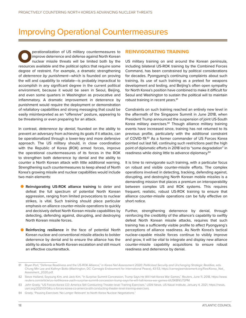### <span id="page-22-0"></span>Improving Operational Countermeasures

perationalization of US military countermeasures to improve deterrence and defense against North Korean nuclear missile threats will be limited both by the resources available and the political optics that require some improve deterrence and defense against North Korean nuclear missile threats will be limited both by the degree of restraint. For example, a dramatic strengthening of *deterrence by punishment*—which is founded on proving the will and capability to retaliate—is probably impractical to accomplish in any significant degree in the current political environment, because it would be seen in Seoul, Beijing, and even some quarters in Washington as provocative and inflammatory. A dramatic improvement in deterrence by punishment would require the deployment or demonstration of retaliatory capabilities and strong messaging that could be easily misinterpreted as an "offensive" posture, appearing to be threatening or even preparing for an attack.

In contrast, *deterrence by denial*, founded on the ability to prevent an adversary from achieving its goals if it attacks, can be operationalized through a lower-key and more defensive approach. The US military should, in close coordination with the Republic of Korea (ROK) armed forces, improve the operational countermeasures of its forces in the ROK to strengthen both deterrence by denial and the ability to counter a North Korean attack with little additional warning. Strengthening such countermeasures to keep ahead of North Korea's growing missile and nuclear capabilities would include two main elements:

- **Reinvigorating US-ROK alliance training** to deter and defeat the full spectrum of potential North Korean aggression, ranging from limited provocations to nuclear strikes, is vital. Such training should place particular emphasis on alliance counter-missile operations to quickly and decisively defeat North Korean missile capabilities by detecting, defending against, disrupting, and destroying North Korean missile forces.
- **Reinforcing resilience** in the face of potential North Korean nuclear and conventional missile attacks to bolster deterrence by denial and to ensure the alliance has the ability to absorb a North Korean escalation and still mount an effective counterattack.

#### **REINVIGORATING TRAINING**

US military training on and around the Korean peninsula, including bilateral US-ROK training by the Combined Forces Command, has been constrained by political considerations for decades. Pyongyang's continuing complaints about such training, its use of such training as a pretext for weapons development and testing, and Beijing's often open sympathy for North Korea's position have combined to make it difficult for Seoul and Washington to sustain the political will to maintain robust training in recent years.<sup>81</sup>

Constraints on such training reached an entirely new level in the aftermath of the Singapore Summit in June 2018, when President Trump announced the suspension of joint US-South Korea military exercises.<sup>82</sup> Though alliance military training events have increased since, training has not returned to its previous profile, particularly with the additional constraint of COVID-19.83 As a former commander of US Forces Korea pointed out last fall, continuing such restrictions past the high point of diplomatic efforts in 2018 led to "some degradation" in readiness while doing little to advance diplomacy.<sup>84</sup>

It is time to reinvigorate such training, with a particular focus on robust and visible counter-missile efforts. The complex operations involved in detecting, tracking, defending against, disrupting, and destroying North Korean mobile missiles is a demanding mission that places a premium on interoperability between complex US and ROK systems. This requires frequent, realistic, robust US-ROK training to ensure that alliance counter-missile operations can be fully effective on short notice.

Further, strengthening deterrence by denial, through reinforcing the credibility of the alliance's capability to swiftly defeat North Korean missile attacks, requires that such training has a sufficiently visible profile to affect Pyongyang's perceptions of alliance readiness. As North Korea's tactical nuclear-capable missile forces continue to visibly improve and grow, it will be vital to integrate and display new alliance counter-missile capability acquisitions to ensure robust readiness and deterrence by denial.

<sup>81</sup> Bryan Port, "Defense Readiness and the US-ROK Alliance," in *Korea Net Assessment 2020: Politicized Security and Unchanging Strategic Realities*, eds. Chung Min Lee and Kathryn Botto (Washington, DC: Carnegie Endowment for International Peace), 43-53, [https://carnegieendowment.org/files/Korea\\_Net\\_](https://carnegieendowment.org/files/Korea_Net_Assesment_2020.pdf) [Assesment\\_2020.pdf](https://carnegieendowment.org/files/Korea_Net_Assesment_2020.pdf).

<sup>82</sup> Steve Holland, Soyoung Kim, and Jack Kim, "In Surprise Summit Concession, Trump Says He Will Halt Korea War Games," *Reuters*, June 11, 2018, [https://www.](https://www.reuters.com/article/us-northkorea-usa/in-surprise-summit-concession-trump-says-he-will-halt-korea-war-games-idUSKBN1J72PM) [reuters.com/article/us-northkorea-usa/in-surprise-summit-concession-trump-says-he-will-halt-korea-war-games-idUSKBN1J72PM](https://www.reuters.com/article/us-northkorea-usa/in-surprise-summit-concession-trump-says-he-will-halt-korea-war-games-idUSKBN1J72PM).

<sup>83</sup> John Grady, "US Forces Korea CO: America Still Conducting Theater-level Training Exercises," *USNI News*, US Naval Institute, January 4, 2021, [https://news.](https://news.usni.org/2021/01/04/u-s-forces-korea-co-america-still-conducting-theater-level-training-exercises) [usni.org/2021/01/04/u-s-forces-korea-co-america-still-conducting-theater-level-training-exercises.](https://news.usni.org/2021/01/04/u-s-forces-korea-co-america-still-conducting-theater-level-training-exercises)

<sup>84</sup> Grady, "Pausing Exercises 'No Longer Relevant' to North Korea Nuclear Negotiations."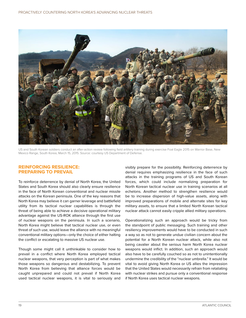

US and South Korean soldiers conduct an after-action review following field artillery training during exercise Foal Eagle 2015 on Warrior Base, New Mexico Range, South Korea, March 15, 2015. Source: courtesy US Department of Defense.

#### **REINFORCING RESILIENCE: PREPARING TO PREVAIL**

To reinforce deterrence by denial of North Korea, the United States and South Korea should also clearly ensure resilience in the face of North Korean conventional and nuclear missile attacks on the Korean peninsula. One of the key reasons that North Korea may believe it can garner leverage and battlefield utility from its tactical nuclear capabilities is through the threat of being able to achieve a decisive operational military advantage against the US-ROK alliance through the first use of nuclear weapons on the peninsula. In such a scenario, North Korea might believe that tactical nuclear use, or even threat of such use, would leave the alliance with no meaningful conventional military options—only the choice of either halting the conflict or escalating to massive US nuclear use.

Though some might call it unthinkable to consider how to prevail in a conflict where North Korea employed tactical nuclear weapons, that very perception is part of what makes those weapons so dangerous and destabilizing. To prevent North Korea from believing that alliance forces would be caught unprepared and could not prevail if North Korea used tactical nuclear weapons, it is vital to seriously and

visibly prepare for the possibility. Reinforcing deterrence by denial requires emphasizing resilience in the face of such attacks in the training programs of US and South Korean forces, which could include normalizing preparation for North Korean tactical nuclear use in training scenarios at all echelons. Another method to strengthen resilience would be to increase dispersion of high-value assets, along with improved preparations of mobile and alternate sites for key military assets, to ensure that a limited North Korean tactical nuclear attack cannot easily cripple allied military operations.

Operationalizing such an approach would be tricky from the standpoint of public messaging. Such training and other resiliency improvements would have to be conducted in such a way so as not to generate undue civilian concern about the potential for a North Korean nuclear attack, while also not being cavalier about the serious harm North Korea nuclear weapons would inflict. In addition, such an approach would also have to be carefully couched so as not to unintentionally undermine the credibility of the "nuclear umbrella." It would be vital to avoid giving North Korea or US allies the impression that the United States would necessarily refrain from retaliating with nuclear strikes and pursue only a conventional response if North Korea uses tactical nuclear weapons.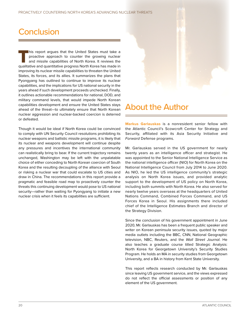### <span id="page-24-0"></span>**Conclusion**

This report argues that the United States must take a<br>proactive approach to counter the growing nuclear<br>and missile capabilities of North Korea. It reviews the<br>qualitative and quantitative progress North Korea has made in proactive approach to counter the growing nuclear and missile capabilities of North Korea. It reviews the qualitative and quantitative progress North Korea has made in improving its nuclear missile capabilities to threaten the United States, its forces, and its allies. It summarizes the plans that Pyongyang has outlined to continue to improve its nuclear capabilities, and the implications for US national security in the years ahead if such development proceeds unchecked. Finally, it outlines actionable recommendations for national, DOD, and military command levels, that would impede North Korean capabilities development and ensure the United States stays ahead of the threat—to ultimately ensure that North Korean nuclear aggression and nuclear-backed coercion is deterred or defeated.

Though it would be ideal if North Korea could be convinced to comply with UN Security Council resolutions prohibiting its nuclear weapons and ballistic missile programs, it is likely that its nuclear and weapons development will continue despite any pressures and incentives the international community can realistically bring to bear. If the current trajectory remains unchanged, Washington may be left with the unpalatable choice of either conceding to North Korean coercion of South Korea and the resulting decoupling of the alliance with Seoul or risking a nuclear war that could escalate to US cities and draw in China. The recommendations in this report provide a pragmatic and feasible road map to proactively counter the threats this continuing development would pose to US national security—rather than waiting for Pyongyang to initiate a new nuclear crisis when it feels its capabilities are sufficient.



### About the Author

**Markus Garlauskas** is a nonresident senior fellow with the Atlantic Council's Scowcroft Center for Strategy and Security, affiliated with its Asia Security Initiative and *Forward* Defense programs.

Mr. Garlauskas served in the US government for nearly twenty years as an intelligence officer and strategist. He was appointed to the Senior National Intelligence Service as the national intelligence officer (NIO) for North Korea on the National Intelligence Council from July 2014 to June 2020. As NIO, he led the US intelligence community's strategic analysis on North Korea issues, and provided analytic support to the development of US policy on North Korea, including both summits with North Korea. He also served for nearly twelve years overseas at the headquarters of United Nations Command, Combined Forces Command, and US Forces Korea in Seoul. His assignments there included chief of the Intelligence Estimates Branch and director of the Strategy Division.

Since the conclusion of his government appointment in June 2020, Mr. Garlauskas has been a frequent public speaker and writer on Korean peninsula security issues, quoted by major media outlets including the BBC, CNN, National Geographic television, NBC, Reuters, and the *Wall Street Journal*. He also teaches a graduate course titled Strategic Analysis: North Korea for Georgetown University's Security Studies Program. He holds an MA in security studies from Georgetown University, and a BA in history from Kent State University.

This report reflects research conducted by Mr. Garlauskas since leaving US government service, and the views expressed do not reflect the official assessments or position of any element of the US government.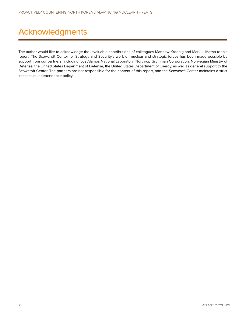## <span id="page-25-0"></span>Acknowledgments

The author would like to acknowledge the invaluable contributions of colleagues Matthew Kroenig and Mark J. Massa to this report. The Scowcroft Center for Strategy and Security's work on nuclear and strategic forces has been made possible by support from our partners, including: Los Alamos National Laboratory, Northrop Grumman Corporation, Norwegian Ministry of Defense, the United States Department of Defense, the United States Department of Energy, as well as general support to the Scowcroft Center. The partners are not responsible for the content of this report, and the Scowcroft Center maintains a strict intellectual independence policy.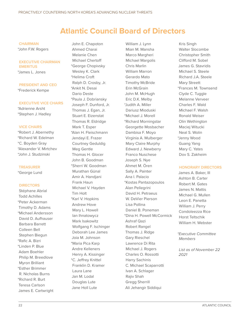### **Atlantic Council Board of Directors**

#### **CHAIRMAN**

\*John F.W. Rogers

#### **EXECUTIVE CHAIRMAN EMERITUS**

\*James L. Jones

### **PRESIDENT AND CEO**

\*Frederick Kempe

#### **EXECUTIVE VICE CHAIRS**

\*Adrienne Arsht \*Stephen J. Hadley

#### **VICE CHAIRS**

\*Robert J. Abernethy \*Richard W. Edelman \*C. Boyden Gray \*Alexander V. Mirtchev \*John J. Studzinski

#### **TREASURER**

\*George Lund

#### **DIRECTORS**

Stéphane Abrial Todd Achilles \*Peter Ackerman Timothy D. Adams \*Michael Andersson David D. Aufhauser Barbara Barrett Colleen Bell Stephen Biegun \*Rafic A. Bizri \*Linden P. Blue Adam Boehler Philip M. Breedlove Myron Brilliant \*Esther Brimmer R. Nicholas Burns \*Richard R. Burt Teresa Carlson James E. Cartwright

John E. Chapoton Ahmed Charai Melanie Chen Michael Chertoff \*George Chopivsky Wesley K. Clark \*Helima Croft Ralph D. Crosby, Jr. \*Ankit N. Desai Dario Deste \*Paula J. Dobriansky Joseph F. Dunford, Jr. Thomas J. Egan, Jr. Stuart E. Eizenstat Thomas R. Eldridge Mark T. Esper \*Alan H. Fleischmann Jendayi E. Frazer Courtney Geduldig Meg Gentle Thomas H. Glocer John B. Goodman \*Sherri W. Goodman Murathan Günal Amir A. Handjani Frank Haun Michael V. Hayden Tim Holt \*Karl V. Hopkins Andrew Hove Mary L. Howell Ian Ihnatowycz Mark Isakowitz Wolfgang F. Ischinger Deborah Lee James Joia M. Johnson \*Maria Pica Karp Andre Kelleners Henry A. Kissinger \*C. Jeffrey Knittel Franklin D. Kramer Laura Lane Jan M. Lodal Douglas Lute Jane Holl Lute

William J. Lynn Mian M. Mansha Marco Margheri Michael Margolis Chris Marlin William Marron Gerardo Mato Timothy McBride Erin McGrain John M. McHugh Eric D.K. Melby \*Judith A. Miller Dariusz Mioduski \*Michael J. Morell \*Richard Morningstar Georgette Mosbacher Dambisa F. Moyo Virginia A. Mulberger Mary Claire Murphy Edward J. Newberry Franco Nuschese Joseph S. Nye Ahmet M. Ören Sally A. Painter Ana I. Palacio \*Kostas Pantazopoulos Alan Pellegrini David H. Petraeus W. DeVier Pierson Lisa Pollina Daniel B. Poneman \*Dina H. Powell McCormick Ashraf Qazi Robert Rangel Thomas J. Ridge Gary Rieschel Lawrence Di Rita Michael J. Rogers Charles O. Rossotti Harry Sachinis C. Michael Scaparrotti Ivan A. Schlager Rajiv Shah Gregg Sherrill Ali Jehangir Siddiqui

Kris Singh Walter Slocombe Christopher Smith Clifford M. Sobel James G. Stavridis Michael S. Steele Richard J.A. Steele Mary Streett \*Frances M. Townsend Clyde C. Tuggle Melanne Verveer Charles F. Wald Michael F. Walsh Ronald Weiser Olin Wethington Maciej Witucki Neal S. Wolin \*Jenny Wood Guang Yang Mary C. Yates Dov S. Zakheim

#### **HONORARY DIRECTORS**

James A. Baker, III Ashton B. Carter Robert M. Gates James N. Mattis Michael G. Mullen Leon E. Panetta William J. Perry Condoleezza Rice Horst Teltschik William H. Webster

*\*Executive Committee Members*

*List as of November 22 2021*